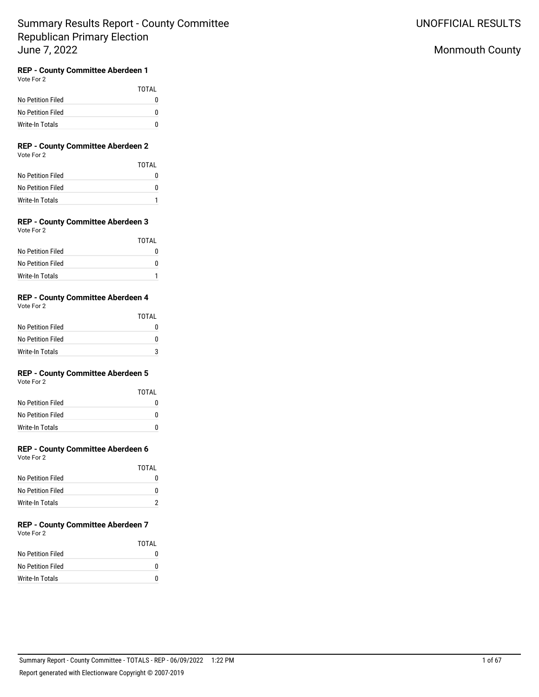TOTAL

## Monmouth County

## **REP - County Committee Aberdeen 1**

Vote For 2

|                   | TOTAI    |
|-------------------|----------|
| No Petition Filed | $^{(1)}$ |
| No Petition Filed | o        |
| Write-In Totals   |          |

### **REP - County Committee Aberdeen 2** Vote For 2

| No Petition Filed |  |  |
|-------------------|--|--|

| No Petition Filed |  |
|-------------------|--|
| No Petition Filed |  |
| Write-In Totals   |  |

#### **REP - County Committee Aberdeen 3** Vote For 2

| $\cdots$          |       |
|-------------------|-------|
|                   | TOTAL |
| No Petition Filed |       |
| No Petition Filed | n     |
| Write-In Totals   |       |

## **REP - County Committee Aberdeen 4**

Vote For 2

|                   | TOTAL |
|-------------------|-------|
| No Petition Filed | O     |
| No Petition Filed | 0     |
| Write-In Totals   |       |

## **REP - County Committee Aberdeen 5**

Vote For 2

|                   | TOTAI |
|-------------------|-------|
| No Petition Filed | n     |
| No Petition Filed | n     |
| Write-In Totals   | n     |

## **REP - County Committee Aberdeen 6**

Vote For 2

|                   | TOTAI |
|-------------------|-------|
| No Petition Filed |       |
| No Petition Filed | O     |
| Write-In Totals   |       |

#### **REP - County Committee Aberdeen 7** Vote For 2

|                   | <b>TOTAL</b> |
|-------------------|--------------|
| No Petition Filed |              |
| No Petition Filed | O            |
| Write-In Totals   | n            |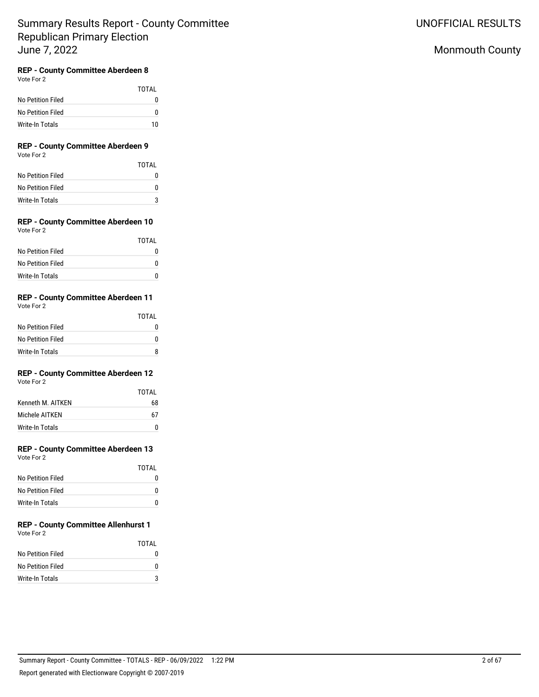## Monmouth County

## **REP - County Committee Aberdeen 8**

Vote For 2

|                   | TOTAL |
|-------------------|-------|
| No Petition Filed | n     |
| No Petition Filed | n     |
| Write-In Totals   | 10    |

### **REP - County Committee Aberdeen 9** Vote For 2

|                   | TOTAL |
|-------------------|-------|
| No Petition Filed |       |
| No Petition Filed |       |
| Write-In Totals   |       |

#### **REP - County Committee Aberdeen 10** Vote For 2

|                   | <b>TOTAL</b> |
|-------------------|--------------|
| No Petition Filed |              |
| No Petition Filed | $\mathbf{I}$ |
| Write-In Totals   | n            |

## **REP - County Committee Aberdeen 11**

Vote For 2

|                   | TOTAI |
|-------------------|-------|
| No Petition Filed |       |
| No Petition Filed | 0     |
| Write-In Totals   |       |

## **REP - County Committee Aberdeen 12**

Vote For 2

|                   | TOTAI |
|-------------------|-------|
| Kenneth M. AITKEN | 68    |
| Michele AITKFN    | 67    |
| Write-In Totals   |       |

# **REP - County Committee Aberdeen 13**

Vote For 2

|                   | TOTAI |
|-------------------|-------|
| No Petition Filed |       |
| No Petition Filed | O     |
| Write-In Totals   | O     |

#### **REP - County Committee Allenhurst 1** Vote For 2

|                   | TOTAI |
|-------------------|-------|
| No Petition Filed | n     |
| No Petition Filed | n     |
| Write-In Totals   | 2     |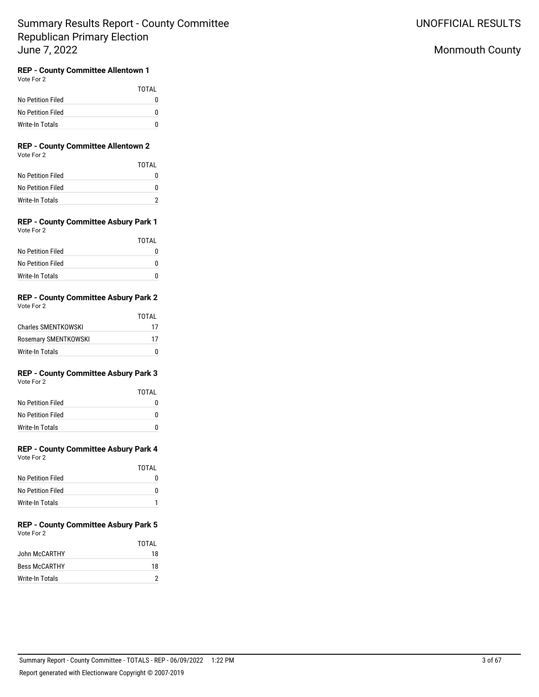## Monmouth County

## **REP - County Committee Allentown 1**

Vote For 2

|                   | TOTAI |
|-------------------|-------|
| No Petition Filed |       |
| No Petition Filed |       |
| Write-In Totals   |       |

### **REP - County Committee Allentown 2** Vote For 2

|                   | TOTAI |
|-------------------|-------|
| No Petition Filed | 0     |
| No Petition Filed | O     |
| Write-In Totals   |       |

### **REP - County Committee Asbury Park 1** Vote For 2

|                   | TOTAI |
|-------------------|-------|
| No Petition Filed |       |
| No Petition Filed | n     |
| Write-In Totals   | Ш     |

#### **REP - County Committee Asbury Park 2** Vote For 2

|                      | TOTAI |
|----------------------|-------|
| Charles SMENTKOWSKI  | 17    |
| Rosemary SMENTKOWSKI | 17    |
| Write-In Totals      |       |

# **REP - County Committee Asbury Park 3**

| Vote For 2 |  |
|------------|--|
|            |  |

|                   | TOTAL    |
|-------------------|----------|
| No Petition Filed | $^{(1)}$ |
| No Petition Filed | o        |
| Write-In Totals   | n        |

## **REP - County Committee Asbury Park 4**

Vote For 2

|                   | TOTAI |
|-------------------|-------|
| No Petition Filed |       |
| No Petition Filed |       |
| Write-In Totals   |       |

#### **REP - County Committee Asbury Park 5** Vote For 2

|                      | TOTAI |
|----------------------|-------|
| John McCARTHY        | 18    |
| <b>Bess McCARTHY</b> | 18    |
| Write-In Totals      |       |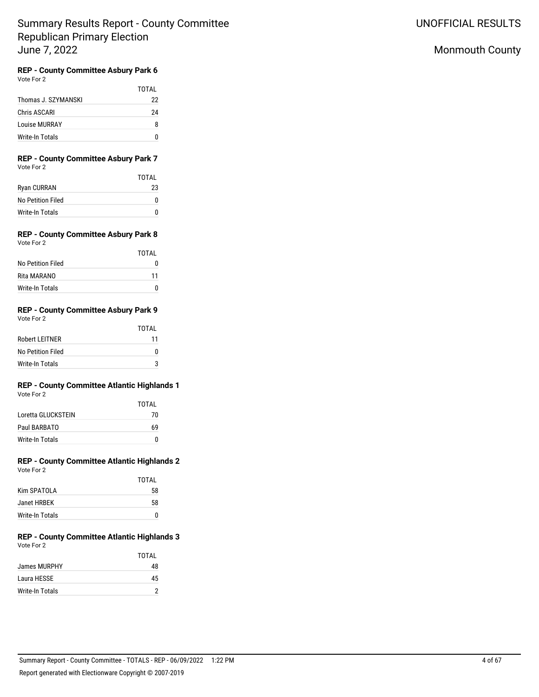UNOFFICIAL RESULTS

# Monmouth County

#### **REP - County Committee Asbury Park 6** Vote For 2

|                     | TOTAL |
|---------------------|-------|
| Thomas J. SZYMANSKI | 22    |
| Chris ASCARI        | 24    |
| Louise MURRAY       | Զ     |
| Write-In Totals     |       |

# **REP - County Committee Asbury Park 7**

| Vote For 2 |  |
|------------|--|
|------------|--|

|                   | TOTAI |
|-------------------|-------|
| Ryan CURRAN       | 23    |
| No Petition Filed |       |
| Write-In Totals   |       |

### **REP - County Committee Asbury Park 8** Vote For 2

|                   | TOTAI |
|-------------------|-------|
| No Petition Filed |       |
| Rita MARANO       | 11    |
| Write-In Totals   |       |

#### **REP - County Committee Asbury Park 9** Vote For 2

|                   | TOTAI |
|-------------------|-------|
| Robert LEITNER    | 11    |
| No Petition Filed |       |
| Write-In Totals   | פ     |

### **REP - County Committee Atlantic Highlands 1** Vote For 2

|                    | TOTAI |
|--------------------|-------|
| Loretta GLUCKSTEIN | 70    |
| Paul BARBATO       | 69    |
| Write-In Totals    | n     |

#### **REP - County Committee Atlantic Highlands 2** Vote For 2

|                 | TOTAI |
|-----------------|-------|
| Kim SPATOLA     | 58    |
| Janet HRBEK     | 58    |
| Write-In Totals |       |

### **REP - County Committee Atlantic Highlands 3** Vote For 2

|                 | TOTAI |
|-----------------|-------|
| James MURPHY    | 48    |
| Laura HESSE     | 45    |
| Write-In Totals |       |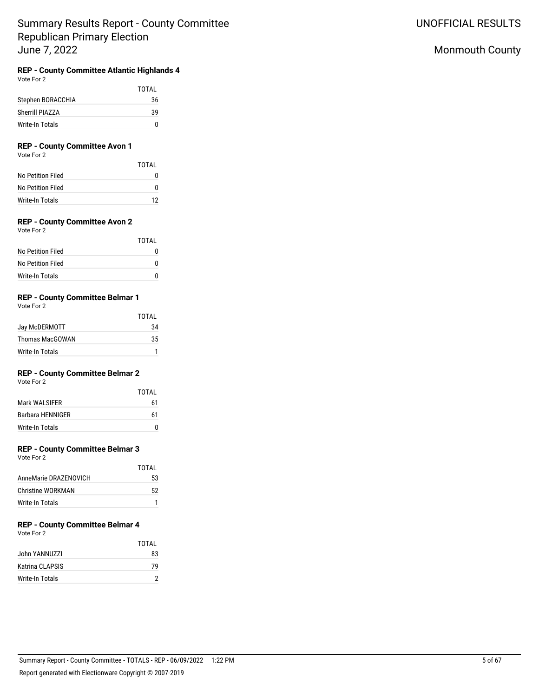# **REP - County Committee Atlantic Highlands 4**

Vote For 2

|                   | TOTAI |
|-------------------|-------|
| Stephen BORACCHIA | 36    |
| Sherrill PIAZZA   | 39    |
| Write-In Totals   | U     |

## **REP - County Committee Avon 1**

Vote For 2

|                   | TOTAI |
|-------------------|-------|
| No Petition Filed | 0     |
| No Petition Filed | n     |
| Write-In Totals   | 12    |

## **REP - County Committee Avon 2**

| Vote For 2 |  |
|------------|--|
|            |  |

|                   | TOTAI |
|-------------------|-------|
| No Petition Filed | 0     |
| No Petition Filed | o     |
| Write-In Totals   | O     |

## **REP - County Committee Belmar 1**

Vote For 2

|                 | TOTAI |
|-----------------|-------|
| Jay McDERMOTT   | 34    |
| Thomas MacGOWAN | 35    |
| Write-In Totals |       |

## **REP - County Committee Belmar 2**

Vote For 2

|                         | TOTAI |
|-------------------------|-------|
| Mark WALSIFER           | 61    |
| <b>Barbara HENNIGER</b> | 61    |
| Write-In Totals         |       |

### **REP - County Committee Belmar 3**

Vote For 2

|                       | TOTAI |
|-----------------------|-------|
| AnneMarie DRAZENOVICH | 53    |
| Christine WORKMAN     | 52    |
| Write-In Totals       |       |

# **REP - County Committee Belmar 4**

Vote For 2

|                 | TOTAI |
|-----------------|-------|
| John YANNUZZI   | 83    |
| Katrina CLAPSIS | 79    |
| Write-In Totals |       |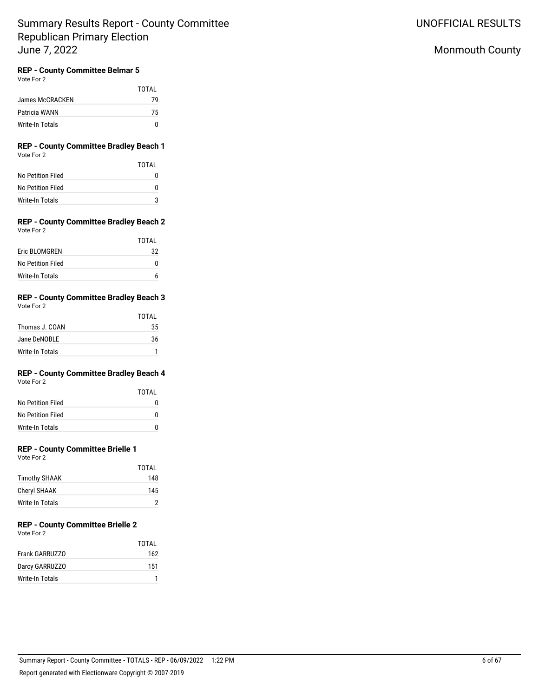## Monmouth County

## **REP - County Committee Belmar 5**

Vote For 2

|                 | TOTAI |
|-----------------|-------|
| James McCRACKEN | 79    |
| Patricia WANN   | 75    |
| Write-In Totals | n     |

### **REP - County Committee Bradley Beach 1** Vote For 2

|                   | TOTAI |
|-------------------|-------|
| No Petition Filed |       |
| No Petition Filed |       |
| Write-In Totals   |       |

### **REP - County Committee Bradley Beach 2** Vote For 2

|                   | TOTAL |
|-------------------|-------|
| Eric BLOMGREN     | 32    |
| No Petition Filed |       |
| Write-In Totals   |       |

#### **REP - County Committee Bradley Beach 3** Vote For 2

| VULCIUI A       | TOTAL |
|-----------------|-------|
| Thomas J. COAN  | 35    |
| Jane DeNOBLE    | 36    |
| Write-In Totals |       |

# **REP - County Committee Bradley Beach 4**

Vote For 2

|                   | TOTAI |
|-------------------|-------|
| No Petition Filed | O     |
| No Petition Filed | O     |
| Write-In Totals   | n     |

## **REP - County Committee Brielle 1**

Vote For 2

|                 | TOTAI |
|-----------------|-------|
| Timothy SHAAK   | 148   |
| Cheryl SHAAK    | 145   |
| Write-In Totals |       |

# **REP - County Committee Brielle 2**

Vote For 2

|                 | TOTAL |
|-----------------|-------|
| Frank GARRUZZO  | 162   |
| Darcy GARRUZZO  | 151   |
| Write-In Totals |       |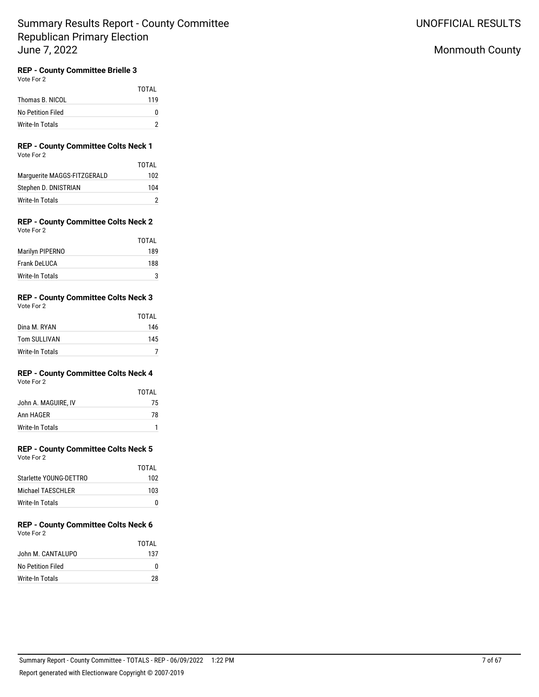# **REP - County Committee Brielle 3**

Vote For 2

|                   | TOTAI |
|-------------------|-------|
| Thomas B. NICOL   | 119   |
| No Petition Filed | o     |
| Write-In Totals   |       |

### **REP - County Committee Colts Neck 1** Vote For 2

|                             | TOTAI |
|-----------------------------|-------|
| Marquerite MAGGS-FITZGERALD | 102   |
| Stephen D. DNISTRIAN        | 104   |
| Write-In Totals             |       |

#### **REP - County Committee Colts Neck 2** Vote For 2

| TOTAL |
|-------|
| 189   |
| 188   |
| 3     |
|       |

#### **REP - County Committee Colts Neck 3** Vote For 2

| $\cdots$        |       |
|-----------------|-------|
|                 | TOTAL |
| Dina M. RYAN    | 146   |
| Tom SULLIVAN    | 145   |
| Write-In Totals |       |

## **REP - County Committee Colts Neck 4**

Vote For 2

|                     | TOTAL |
|---------------------|-------|
| John A. MAGUIRE, IV | 75    |
| Ann HAGER           | 78    |
| Write-In Totals     |       |

## **REP - County Committee Colts Neck 5**

Vote For 2

|                        | TOTAI |
|------------------------|-------|
| Starlette YOUNG-DETTRO | 102   |
| Michael TAFSCHI FR     | 103   |
| Write-In Totals        |       |

#### **REP - County Committee Colts Neck 6** Vote For 2

|                   | TOTAI |
|-------------------|-------|
| John M. CANTALUPO | 137   |
| No Petition Filed |       |
| Write-In Totals   | 28    |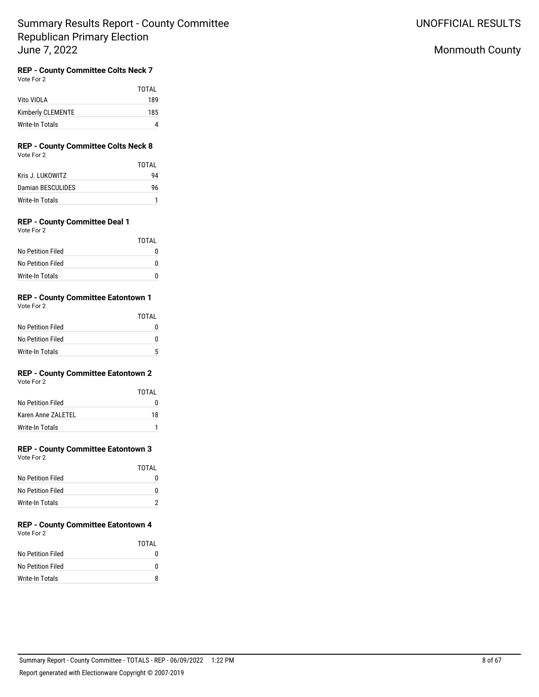## Monmouth County

# **REP - County Committee Colts Neck 7**

Vote For 2

|                   | <b>TOTAL</b> |
|-------------------|--------------|
| Vito VIOLA        | 189          |
| Kimberly CLEMENTE | 185          |
| Write-In Totals   |              |

### **REP - County Committee Colts Neck 8** Vote For 2

|                   | TOTAI |
|-------------------|-------|
| Kris J. HIKOWITZ  | 94    |
| Damian BESCULIDES | 96    |
| Write-In Totals   |       |

## **REP - County Committee Deal 1**

Vote For 2

|                   | TOTAI        |
|-------------------|--------------|
| No Petition Filed | $\mathbf{I}$ |
| No Petition Filed | O            |
| Write-In Totals   | O            |

## **REP - County Committee Eatontown 1**

Vote For 2

|                   | TOTAI |
|-------------------|-------|
| No Petition Filed |       |
| No Petition Filed | O     |
| Write-In Totals   | Б,    |

## **REP - County Committee Eatontown 2**

Vote For 2

|                    | TOTAI |
|--------------------|-------|
| No Petition Filed  |       |
| Karen Anne ZALETEL | 18    |
| Write-In Totals    |       |

## **REP - County Committee Eatontown 3**

Vote For 2

|                   | TOTAL |
|-------------------|-------|
| No Petition Filed |       |
| No Petition Filed |       |
| Write-In Totals   |       |

#### **REP - County Committee Eatontown 4** Vote For 2

|                   | TOTAI |
|-------------------|-------|
| No Petition Filed | n     |
| No Petition Filed | o     |
| Write-In Totals   | Զ     |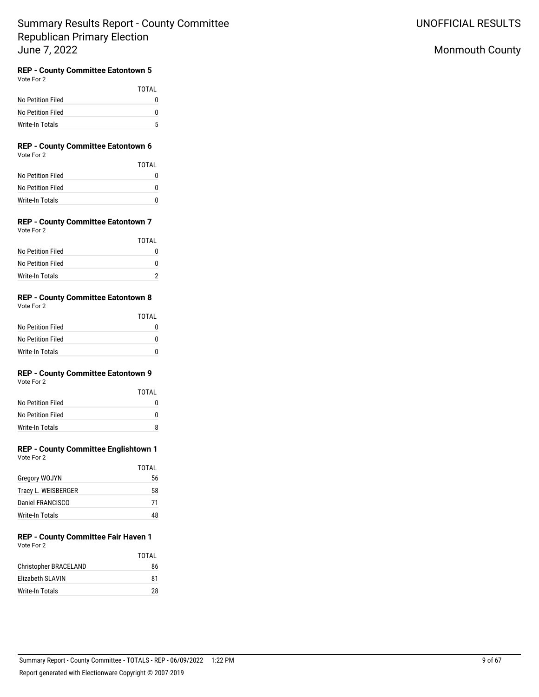## Monmouth County

## **REP - County Committee Eatontown 5**

Vote For 2

|                   | TOTAI    |
|-------------------|----------|
| No Petition Filed | $^{(1)}$ |
| No Petition Filed | o        |
| Write-In Totals   | Б,       |

### **REP - County Committee Eatontown 6** Vote For 2

|                   | TOTAI |
|-------------------|-------|
| No Petition Filed | 0     |
| No Petition Filed | 0     |
| Write-In Totals   | n     |

#### **REP - County Committee Eatontown 7** Vote For 2

|                   | TOTAL |
|-------------------|-------|
| No Petition Filed |       |
| No Petition Filed |       |
| Write-In Totals   |       |

## **REP - County Committee Eatontown 8**

Vote For 2

|                   | TOTAI |
|-------------------|-------|
| No Petition Filed |       |
| No Petition Filed | O     |
| Write-In Totals   | n     |

## **REP - County Committee Eatontown 9**

Vote For 2

|                   | TOTAI |
|-------------------|-------|
| No Petition Filed |       |
| No Petition Filed | n     |
| Write-In Totals   | я     |

## **REP - County Committee Englishtown 1**

Vote For 2

|                     | TOTAL |
|---------------------|-------|
| Gregory WOJYN       | 56    |
| Tracy L. WEISBERGER | 58    |
| Daniel FRANCISCO    | 71    |
| Write-In Totals     | 48    |

### **REP - County Committee Fair Haven 1** Vote For 2

|                         | TOTAI |
|-------------------------|-------|
| Christopher BRACELAND   | 86    |
| <b>Flizabeth SLAVIN</b> | 81    |
| Write-In Totals         | 28    |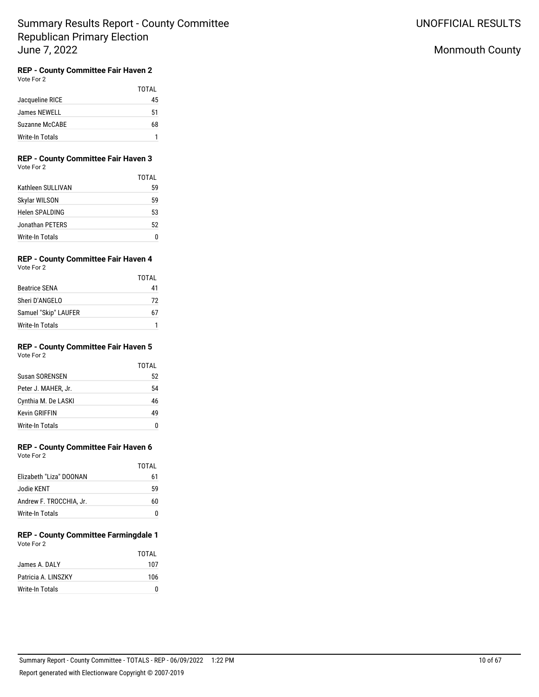# **REP - County Committee Fair Haven 2**

Vote For 2

|                 | TOTAI |
|-----------------|-------|
| Jacqueline RICE | 45    |
| James NEWELL    | 51    |
| Suzanne McCABE  | 68    |
| Write-In Totals |       |

# **REP - County Committee Fair Haven 3**

|                        | TOTAI |
|------------------------|-------|
| Kathleen SULLIVAN      | 59    |
| Skylar WILSON          | 59    |
| Helen SPALDING         | 53    |
| Jonathan PETERS        | 52    |
| <b>Write-In Totals</b> |       |

## **REP - County Committee Fair Haven 4**

Vote For 2

|                      | TOTAL |
|----------------------|-------|
| <b>Beatrice SENA</b> | 41    |
| Sheri D'ANGELO       | 72    |
| Samuel "Skip" LAUFER | h/    |
| Write-In Totals      |       |

#### **REP - County Committee Fair Haven 5** Vote For 2

|                       | TOTAL |
|-----------------------|-------|
| <b>Susan SORENSEN</b> | 52    |
| Peter J. MAHER, Jr.   | 54    |
| Cynthia M. De LASKI   | 46    |
| <b>Kevin GRIFFIN</b>  | 49    |
| Write-In Totals       |       |

# **REP - County Committee Fair Haven 6**

| Vote For 2              |       |
|-------------------------|-------|
|                         | TOTAL |
| Elizabeth "Liza" DOONAN | 61    |
| Jodie KENT              | 59    |
| Andrew F. TROCCHIA, Jr. |       |

## **REP - County Committee Farmingdale 1** Vote For 2

Write-In Totals 0

|                     | TOTAI |
|---------------------|-------|
| James A. DALY       | 107   |
| Patricia A. LINSZKY | 106   |
| Write-In Totals     |       |

## Monmouth County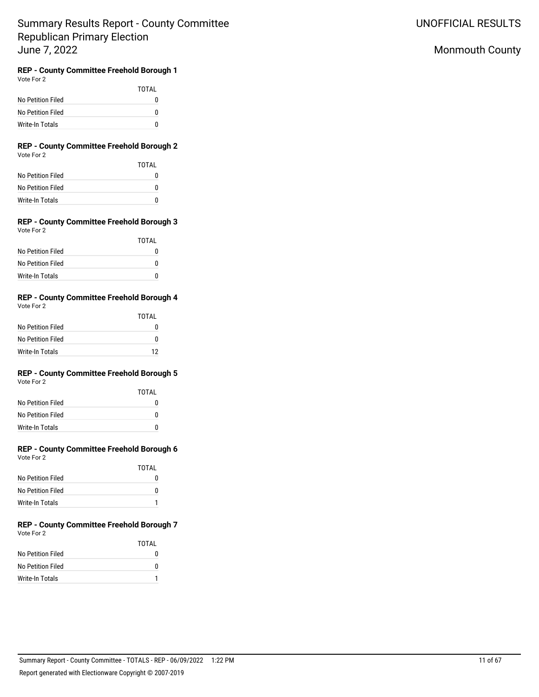# Monmouth County

#### **REP - County Committee Freehold Borough 1** Vote For 2

|                   | TOTAI |
|-------------------|-------|
| No Petition Filed | o     |
| No Petition Filed | 0     |
| Write-In Totals   | n     |

### **REP - County Committee Freehold Borough 2** Vote For 2

|                   | TOTAI |
|-------------------|-------|
| No Petition Filed | O     |
| No Petition Filed | O     |
| Write-In Totals   | n     |

#### **REP - County Committee Freehold Borough 3** Vote For 2

|                   | TOTAI |
|-------------------|-------|
| No Petition Filed |       |
| No Petition Filed | n     |
| Write-In Totals   |       |

## **REP - County Committee Freehold Borough 4**

| Vote For 2 |  |
|------------|--|
|            |  |

|                   | TOTAL |
|-------------------|-------|
| No Petition Filed | O     |
| No Petition Filed | n     |
| Write-In Totals   | 12    |

# **REP - County Committee Freehold Borough 5**

Vote For 2

|                   | TOTAI |
|-------------------|-------|
| No Petition Filed | 0     |
| No Petition Filed | O     |
| Write-In Totals   | U     |

#### **REP - County Committee Freehold Borough 6** Vote For 2

| vote For 2 |  |  |
|------------|--|--|
|            |  |  |
|            |  |  |

|                   | TOTAI |
|-------------------|-------|
| No Petition Filed | O     |
| No Petition Filed | U     |
| Write-In Totals   |       |

### **REP - County Committee Freehold Borough 7** Vote For 2

|                   | TOTAI |
|-------------------|-------|
| No Petition Filed | 0     |
| No Petition Filed | 0     |
| Write-In Totals   |       |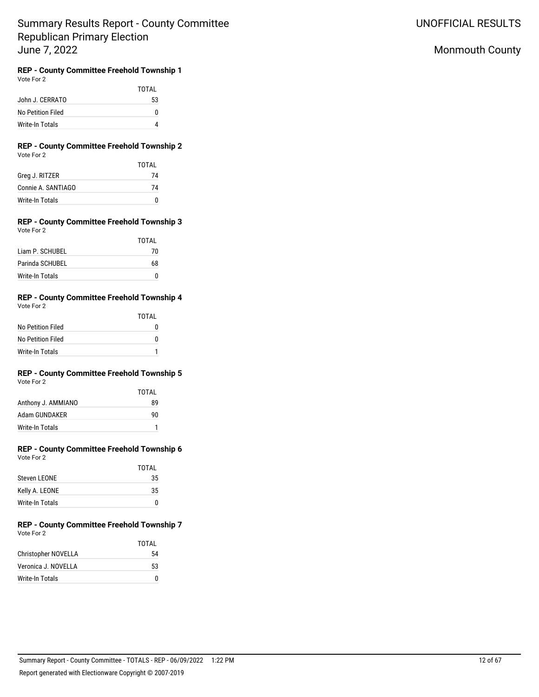UNOFFICIAL RESULTS

# Monmouth County

# **REP - County Committee Freehold Township 1**

|                   | TOTAI |
|-------------------|-------|
| John J. CERRATO   | 53    |
| No Petition Filed | 0     |
| Write-In Totals   |       |

### **REP - County Committee Freehold Township 2** Vote For 2

|                    | TOTAI |
|--------------------|-------|
| Greg J. RITZER     | 74    |
| Connie A. SANTIAGO | 74    |
| Write-In Totals    | 0     |

#### **REP - County Committee Freehold Township 3** Vote For 2

|                 | <b>TOTAL</b> |
|-----------------|--------------|
| Liam P. SCHUBEL | 70           |
| Parinda SCHUBEL | 68           |
| Write-In Totals | U            |

## **REP - County Committee Freehold Township 4**

| Vote For 2 |  |
|------------|--|
|------------|--|

|                   | TOTAI |
|-------------------|-------|
| No Petition Filed | O     |
| No Petition Filed | O     |
| Write-In Totals   |       |

# **REP - County Committee Freehold Township 5**

| Vote For 2 |  |  |
|------------|--|--|
|------------|--|--|

|                    | TOTAI |
|--------------------|-------|
| Anthony J. AMMIANO | 89    |
| Adam GUNDAKER      | 90    |
| Write-In Totals    |       |

### **REP - County Committee Freehold Township 6** Vote For 2

|                 | TOTAL |
|-----------------|-------|
| Steven LEONE    | 35    |
| Kelly A. LEONE  | 35    |
| Write-In Totals | 0     |

#### **REP - County Committee Freehold Township 7** Vote For 2

|                     | TOTAI |
|---------------------|-------|
| Christopher NOVELLA | 54    |
| Veronica J. NOVELLA | 53    |
| Write-In Totals     | O     |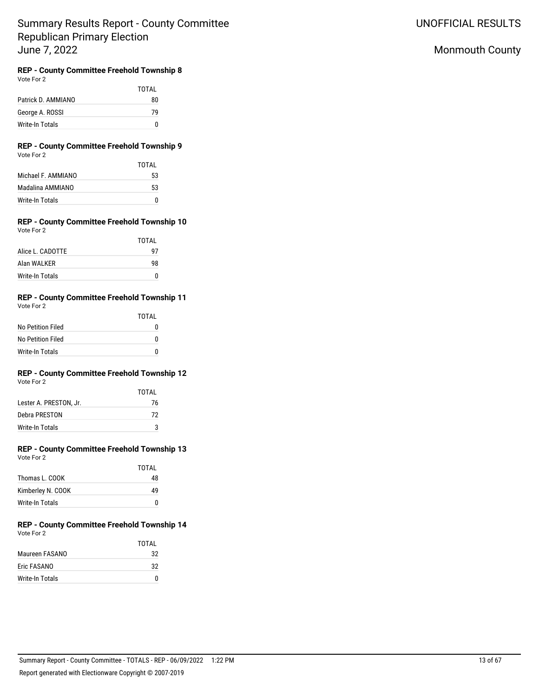UNOFFICIAL RESULTS

# Monmouth County

## **REP - County Committee Freehold Township 8**

| Vote For 2 |  |
|------------|--|
|------------|--|

TOTAL Patrick D. AMMIANO 80 George A. ROSSI 79 Write-In Totals 0

### **REP - County Committee Freehold Township 9** Vote For 2

|                    | TOTAI |
|--------------------|-------|
| Michael F. AMMIANO | 53    |
| Madalina AMMIANO   | 53    |
| Write-In Totals    | N     |

#### **REP - County Committee Freehold Township 10** Vote For 2

|                        | TOTAL |
|------------------------|-------|
| Alice L. CADOTTE       | 97    |
| Alan WALKER            | 98    |
| <b>Write-In Totals</b> | ŋ     |

## **REP - County Committee Freehold Township 11**

| Vote For 2 |  |
|------------|--|
|------------|--|

|                   | TOTAI |
|-------------------|-------|
| No Petition Filed | 0     |
| No Petition Filed | 0     |
| Write-In Totals   | n     |

# **REP - County Committee Freehold Township 12**

|                        | TOTAI |
|------------------------|-------|
| Lester A. PRESTON. Jr. | 76    |
| Debra PRESTON          | 72    |
| Write-In Totals        | з     |

### **REP - County Committee Freehold Township 13** Vote For 2

|                   | TOTAI |
|-------------------|-------|
| Thomas L. COOK    | 48    |
| Kimberley N. COOK | 49    |
| Write-In Totals   | 0     |

### **REP - County Committee Freehold Township 14** Vote For 2

|                 | TOTAI |
|-----------------|-------|
| Maureen FASANO  | 32    |
| Eric FASANO     | 32    |
| Write-In Totals | n     |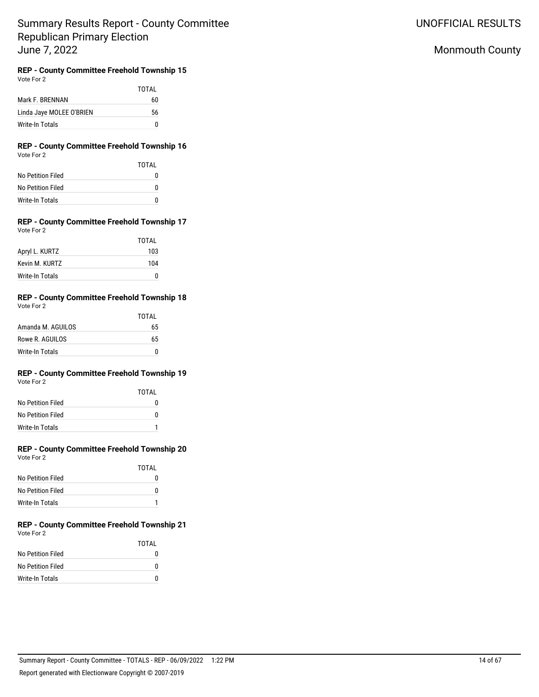UNOFFICIAL RESULTS

# Monmouth County

## **REP - County Committee Freehold Township 15**

|                          | TOTAI |
|--------------------------|-------|
| Mark F. BRENNAN          | 60    |
| Linda Jaye MOLEE O'BRIEN | 56    |
| Write-In Totals          | 0     |

### **REP - County Committee Freehold Township 16** Vote For 2

|                   | TOTAI |
|-------------------|-------|
| No Petition Filed | O     |
| No Petition Filed | O     |
| Write-In Totals   | O     |

#### **REP - County Committee Freehold Township 17** Vote For 2

|                 | TOTAL |
|-----------------|-------|
| Apryl L. KURTZ  | 103   |
| Kevin M. KURTZ  | 104   |
| Write-In Totals | n     |

## **REP - County Committee Freehold Township 18**

| Vote For 2 |  |
|------------|--|
|------------|--|

|                   | TOTAI |
|-------------------|-------|
| Amanda M. AGUILOS | 65    |
| Rowe R. AGUILOS   | 65    |
| Write-In Totals   | n     |

# **REP - County Committee Freehold Township 19**

Vote For 2

|                   | TOTAI |
|-------------------|-------|
| No Petition Filed | O     |
| No Petition Filed | U     |
| Write-In Totals   |       |

### **REP - County Committee Freehold Township 20** Vote For 2

|                   | TOTAI |
|-------------------|-------|
| No Petition Filed | O     |
| No Petition Filed | n     |
| Write-In Totals   |       |

### **REP - County Committee Freehold Township 21** Vote For 2

|                   | TOTAL |
|-------------------|-------|
| No Petition Filed | 0     |
| No Petition Filed | n     |
| Write-In Totals   | n     |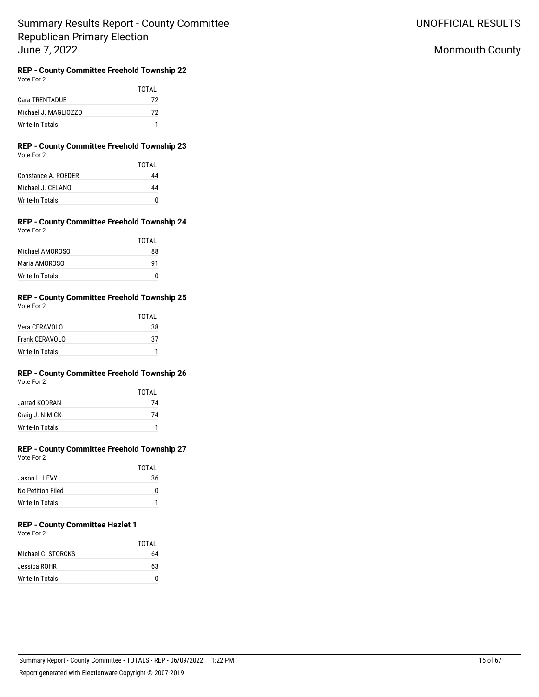UNOFFICIAL RESULTS

# Monmouth County

# **REP - County Committee Freehold Township 22**

TOTAL Cara TRENTADUE 72 Michael J. MAGLIOZZO 72 Write-In Totals 1

### **REP - County Committee Freehold Township 23** Vote For 2

|                     | TOTAI |
|---------------------|-------|
| Constance A. ROEDER | 44    |
| Michael J. CELANO   | 44    |
| Write-In Totals     | n     |

#### **REP - County Committee Freehold Township 24** Vote For 2

|                        | TOTAL |
|------------------------|-------|
| Michael AMOROSO        | 88    |
| Maria AMOROSO          | 91    |
| <b>Write-In Totals</b> | n     |

## **REP - County Committee Freehold Township 25**

| Vote For 2 |  |
|------------|--|
|            |  |

|                 | TOTAI |
|-----------------|-------|
| Vera CERAVOLO   | 38    |
| Frank CERAVOLO  | 37    |
| Write-In Totals |       |

## **REP - County Committee Freehold Township 26**

Vote For 2

|                 | TOTAI |
|-----------------|-------|
| Jarrad KODRAN   | 74    |
| Craig J. NIMICK | 74    |
| Write-In Totals |       |

### **REP - County Committee Freehold Township 27** Vote For 2

|                   | TOTAI |
|-------------------|-------|
| Jason L. LEVY     | 36    |
| No Petition Filed | O     |
| Write-In Totals   |       |

# **REP - County Committee Hazlet 1**

Vote For 2

|                    | TOTAL |
|--------------------|-------|
| Michael C. STORCKS | 64    |
| Jessica ROHR       | 63    |
| Write-In Totals    |       |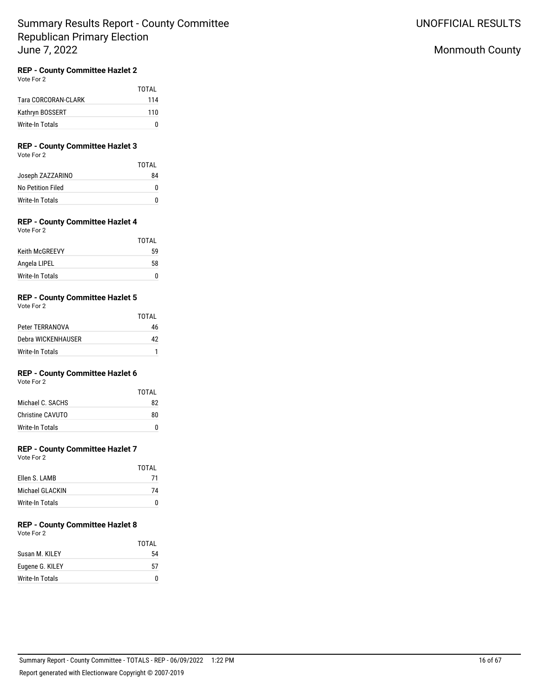## **REP - County Committee Hazlet 2**

Vote For 2

|                     | TOTAI |
|---------------------|-------|
| Tara CORCORAN-CLARK | 114   |
| Kathryn BOSSERT     | 110   |
| Write-In Totals     | n     |

## **REP - County Committee Hazlet 3**

Vote For 2

|                   | TOTAI |
|-------------------|-------|
| Joseph ZAZZARINO  | 84    |
| No Petition Filed | O     |
| Write-In Totals   | n     |

## **REP - County Committee Hazlet 4**

Vote For 2

|                       | TOTAI |
|-----------------------|-------|
| <b>Keith McGREEVY</b> | 59    |
| Angela LIPEL          | 58    |
| Write-In Totals       | O     |

## **REP - County Committee Hazlet 5**

Vote For 2

|                    | TOTAL |
|--------------------|-------|
| Peter TERRANOVA    | 46    |
| Debra WICKENHAUSER | 42    |
| Write-In Totals    |       |

## **REP - County Committee Hazlet 6**

Vote For 2

|                  | TOTAI |
|------------------|-------|
| Michael C. SACHS | 82    |
| Christine CAVUTO | 80    |
| Write-In Totals  | n     |

## **REP - County Committee Hazlet 7**

Vote For 2

|                 | TOTAI |
|-----------------|-------|
| Flien S. LAMB   | 71    |
| Michael GLACKIN | 74    |
| Write-In Totals |       |

# **REP - County Committee Hazlet 8**

Vote For 2

|                 | TOTAI |
|-----------------|-------|
| Susan M. KII FY | 54    |
| Eugene G. KILEY | 57    |
| Write-In Totals | n     |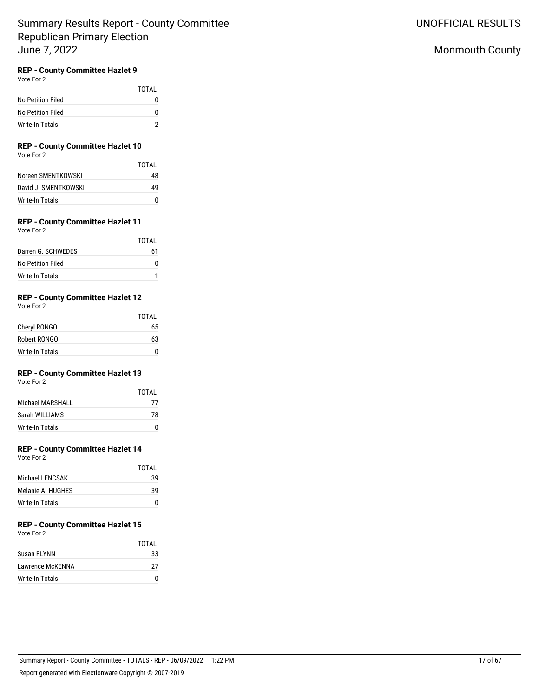## **REP - County Committee Hazlet 9**

Vote For 2

|                   | TOTAI |
|-------------------|-------|
| No Petition Filed | O     |
| No Petition Filed | O     |
| Write-In Totals   |       |

# **REP - County Committee Hazlet 10**

Vote For 2

|                      | TOTAI |
|----------------------|-------|
| Noreen SMENTKOWSKI   | 48    |
| David J. SMENTKOWSKI | 49    |
| Write-In Totals      | n     |

## **REP - County Committee Hazlet 11**

Vote For 2

|                    | TOTAI |
|--------------------|-------|
| Darren G. SCHWEDES | 61    |
| No Petition Filed  | n     |
| Write-In Totals    |       |

## **REP - County Committee Hazlet 12**

Vote For 2

|                        | TOTAI |
|------------------------|-------|
| Cheryl RONGO           | 65    |
| Robert RONGO           | 63    |
| <b>Write-In Totals</b> |       |

## **REP - County Committee Hazlet 13**

Vote For 2

|                  | TOTAI |
|------------------|-------|
| Michael MARSHALL | 77    |
| Sarah WII LIAMS  | 78    |
| Write-In Totals  | U     |

## **REP - County Committee Hazlet 14**

Vote For 2

|                   | TOTAI |
|-------------------|-------|
| Michael I FNCSAK  | 39    |
| Melanie A. HUGHES | 39    |
| Write-In Totals   | O     |

#### **REP - County Committee Hazlet 15** Vote For 2

|                  | TOTAI       |
|------------------|-------------|
| Susan FLYNN      | 33          |
| Lawrence McKENNA | 27          |
| Write-In Totals  | $^{\prime}$ |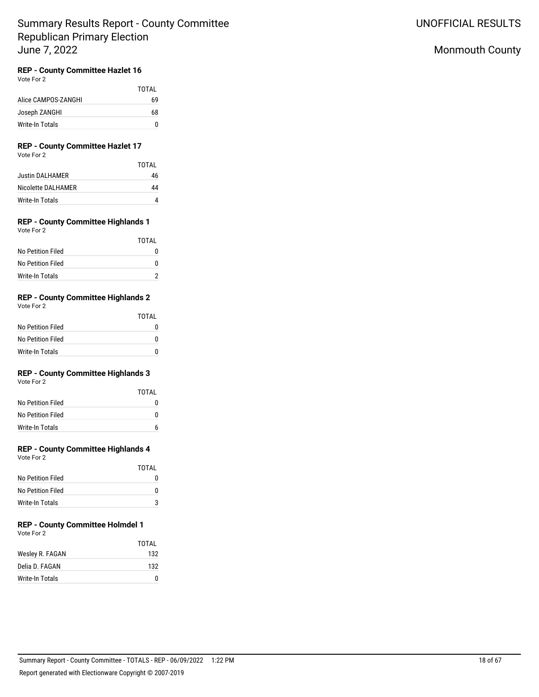## **REP - County Committee Hazlet 16**

Vote For 2

|                     | TOTAL |
|---------------------|-------|
| Alice CAMPOS-ZANGHI | 69    |
| Joseph ZANGHI       | 68    |
| Write-In Totals     | n     |

# **REP - County Committee Hazlet 17**

Vote For 2

|                    | TOTAI |
|--------------------|-------|
| Justin DALHAMER    | 46    |
| Nicolette DALHAMER | 44    |
| Write-In Totals    |       |

#### **REP - County Committee Highlands 1** Vote For 2

| VULCIUI <i>L</i>       |       |
|------------------------|-------|
|                        | TOTAL |
| No Petition Filed      |       |
| No Petition Filed      |       |
| <b>Write-In Totals</b> |       |

## **REP - County Committee Highlands 2**

Vote For 2

|                   | TOTAI |
|-------------------|-------|
| No Petition Filed | O     |
| No Petition Filed | O     |
| Write-In Totals   | n     |

## **REP - County Committee Highlands 3**

Vote For 2

|                   | TOTAI |
|-------------------|-------|
| No Petition Filed | n     |
| No Petition Filed | n     |
| Write-In Totals   |       |

## **REP - County Committee Highlands 4**

Vote For 2

|                        | TOTAI |
|------------------------|-------|
| No Petition Filed      |       |
| No Petition Filed      |       |
| <b>Write-In Totals</b> | 3     |

# **REP - County Committee Holmdel 1**

Vote For 2

|                 | TOTAI |
|-----------------|-------|
| Wesley R. FAGAN | 132   |
| Delia D. FAGAN  | 132   |
| Write-In Totals | n     |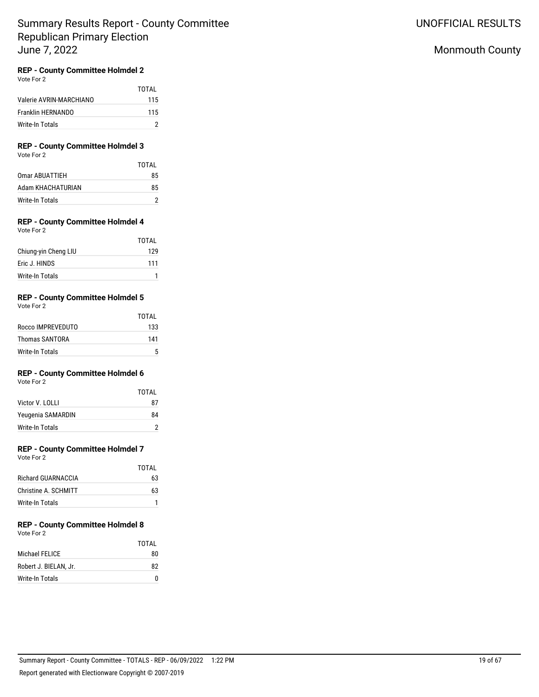# UNOFFICIAL RESULTS

# Monmouth County

## **REP - County Committee Holmdel 2**

Vote For 2

|                         | TOTAI |
|-------------------------|-------|
| Valerie AVRIN-MARCHIANO | 115   |
| Franklin HERNANDO       | 115   |
| Write-In Totals         |       |

#### **REP - County Committee Holmdel 3** Vote For 2

|                   | TOTAI |
|-------------------|-------|
| Omar ABUATTIEH    | 85    |
| Adam KHACHATURIAN | 85    |
| Write-In Totals   |       |

#### **REP - County Committee Holmdel 4** Vote For 2

|                      | <b>TOTAL</b> |
|----------------------|--------------|
| Chiung-yin Cheng LIU | 129          |
| Eric J. HINDS        | 111          |
| Write-In Totals      |              |

## **REP - County Committee Holmdel 5**

| Vote For 2            |       |
|-----------------------|-------|
|                       | TOTAI |
| Rocco IMPREVEDUTO     | 133   |
| <b>Thomas SANTORA</b> | 141   |
|                       |       |

## **REP - County Committee Holmdel 6**

Write-In Totals 5

Vote For 2

|                   | TOTAI |
|-------------------|-------|
| Victor V. LOLLI   | 87    |
| Yeugenia SAMARDIN | 84    |
| Write-In Totals   |       |

## **REP - County Committee Holmdel 7**

Vote For 2

|                      | TOTAI |
|----------------------|-------|
| Richard GUARNACCIA   | 63    |
| Christine A. SCHMITT | 63    |
| Write-In Totals      |       |

# **REP - County Committee Holmdel 8**

| Vote For 2 |  |
|------------|--|
|            |  |

|                       | TOTAI |
|-----------------------|-------|
| Michael FELICE        | 80    |
| Robert J. BIELAN. Jr. | 82    |
| Write-In Totals       |       |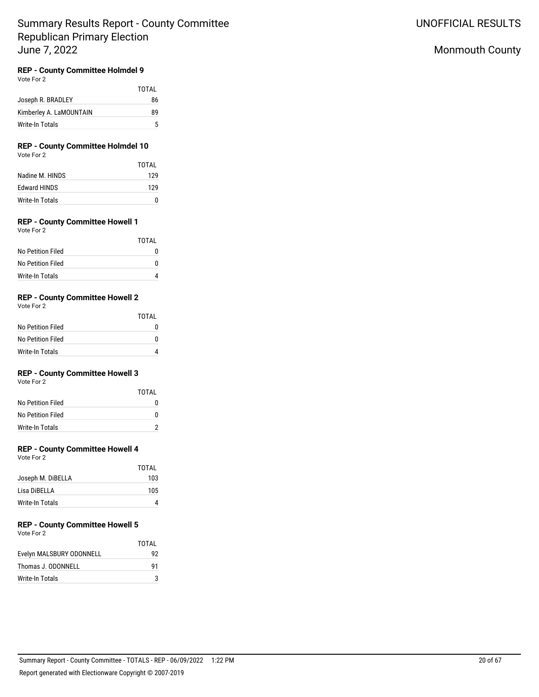## Monmouth County

## **REP - County Committee Holmdel 9**

Vote For 2

|                         | TOTAI |
|-------------------------|-------|
| Joseph R. BRADLEY       | 86    |
| Kimberley A. LaMOUNTAIN | 89    |
| Write-In Totals         | 5     |

### **REP - County Committee Holmdel 10** Vote For 2

|                     | TOTAL |
|---------------------|-------|
| Nadine M. HINDS     | 129   |
| <b>Edward HINDS</b> | 129   |
| Write-In Totals     |       |

## **REP - County Committee Howell 1**

Vote For 2

|                   | TOTAI        |
|-------------------|--------------|
| No Petition Filed | $\mathbf{I}$ |
| No Petition Filed | O            |
| Write-In Totals   |              |

## **REP - County Committee Howell 2**

Vote For 2

|                   | TOTAI |
|-------------------|-------|
| No Petition Filed | 0     |
| No Petition Filed | O     |
| Write-In Totals   |       |

## **REP - County Committee Howell 3**

Vote For 2

|                   | TOTAI |
|-------------------|-------|
| No Petition Filed | O     |
| No Petition Filed | n     |
| Write-In Totals   |       |

## **REP - County Committee Howell 4**

Vote For 2

| <b>TOTAL</b> |
|--------------|
| 103          |
| 105          |
|              |
|              |

#### **REP - County Committee Howell 5** Vote For 2

| $\cdots$                 | TOTAL |
|--------------------------|-------|
| Evelyn MALSBURY ODONNELL | 92    |
| Thomas J. ODONNELL       | 91    |
| Write-In Totals          |       |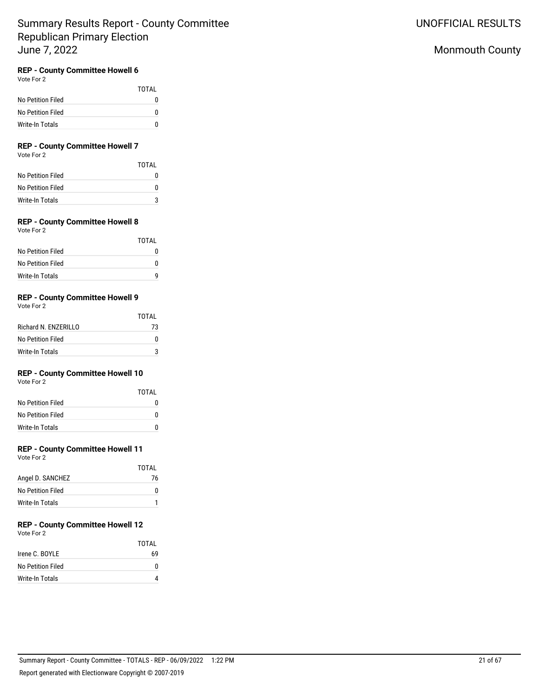## **REP - County Committee Howell 6**

Vote For 2

|                   | TOTAL |
|-------------------|-------|
| No Petition Filed | 0     |
| No Petition Filed | 0     |
| Write-In Totals   | n     |

## **REP - County Committee Howell 7**

Vote For 2

|                   | TOTAI |
|-------------------|-------|
| No Petition Filed | n     |
| No Petition Filed | n     |
| Write-In Totals   |       |

## **REP - County Committee Howell 8**

Vote For 2

|                   | TOTAI        |
|-------------------|--------------|
| No Petition Filed | $\mathbf{I}$ |
| No Petition Filed | O            |
| Write-In Totals   | q            |

## **REP - County Committee Howell 9**

Vote For 2

|                      | TOTAI |
|----------------------|-------|
| Richard N. FN7FRILLO | 73    |
| No Petition Filed    | O     |
| Write-In Totals      | 2     |

## **REP - County Committee Howell 10**

Vote For 2

|                   | TOTAI |
|-------------------|-------|
| No Petition Filed | O     |
| No Petition Filed | n     |
| Write-In Totals   | n     |

### **REP - County Committee Howell 11**

Vote For 2

|                   | TOTAL |
|-------------------|-------|
| Angel D. SANCHEZ  | 76    |
| No Petition Filed | O     |
| Write-In Totals   |       |

# **REP - County Committee Howell 12**

Vote For 2

|                   | TOTAI |
|-------------------|-------|
| Irene C. BOYLE    | 69    |
| No Petition Filed |       |
| Write-In Totals   |       |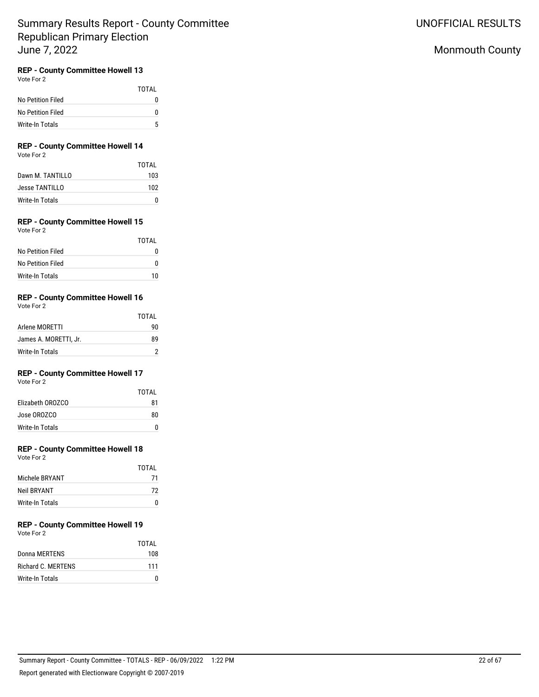## **REP - County Committee Howell 13**

Vote For 2

|                   | TOTAI |
|-------------------|-------|
| No Petition Filed | O     |
| No Petition Filed | O     |
| Write-In Totals   | 5     |

# **REP - County Committee Howell 14**

Vote For 2

|                  | TOTAI |
|------------------|-------|
| Dawn M. TANTILLO | 103   |
| Jesse TANTILLO   | 102   |
| Write-In Totals  |       |

## **REP - County Committee Howell 15**

Vote For 2

|                   | TOTAI |
|-------------------|-------|
| No Petition Filed |       |
| No Petition Filed |       |
| Write-In Totals   | 10    |

## **REP - County Committee Howell 16**

Vote For 2

|                       | TOTAL |
|-----------------------|-------|
| Arlene MORETTI        | 90    |
| James A. MORETTI. Jr. | R٩    |
| Write-In Totals       |       |

## **REP - County Committee Howell 17**

Vote For 2

|                  | TOTAI |
|------------------|-------|
| Flizabeth OROZCO | 81    |
| Jose OROZCO      | 80    |
| Write-In Totals  |       |

## **REP - County Committee Howell 18**

Vote For 2

|                 | TOTAI |
|-----------------|-------|
| Michele BRYANT  | 71    |
| Neil BRYANT     | 72    |
| Write-In Totals |       |

#### **REP - County Committee Howell 19** Vote For 2

| VULCIUI <i>L</i>   |       |
|--------------------|-------|
|                    | TOTAL |
| Donna MERTENS      | 108   |
| Richard C. MERTENS | 111   |
| Write-In Totals    |       |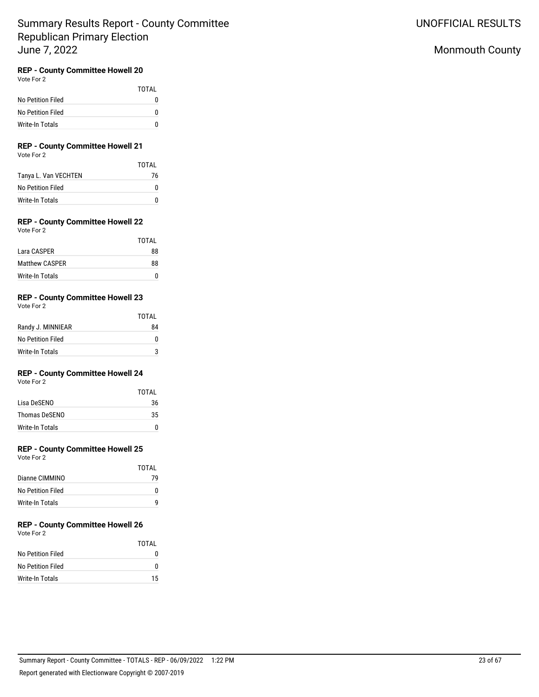## **REP - County Committee Howell 20**

Vote For 2

|                   | TOTAI |
|-------------------|-------|
| No Petition Filed | O     |
| No Petition Filed | n     |
| Write-In Totals   | n     |

## **REP - County Committee Howell 21**

Vote For 2

|                      | TOTAL |
|----------------------|-------|
| Tanya L. Van VECHTEN | 76    |
| No Petition Filed    | n     |
| Write-In Totals      | n     |

## **REP - County Committee Howell 22**

Vote For 2

|                       | TOTAI |
|-----------------------|-------|
| Lara CASPER           | 88    |
| <b>Matthew CASPER</b> | 88    |
| Write-In Totals       |       |

## **REP - County Committee Howell 23**

Vote For 2

|                   | TOTAL |
|-------------------|-------|
| Randy J. MINNIEAR | 84    |
| No Petition Filed |       |
| Write-In Totals   |       |

## **REP - County Committee Howell 24**

Vote For 2

|                 | TOTAI |
|-----------------|-------|
| Lisa DeSENO     | 36    |
| Thomas DeSENO   | 35    |
| Write-In Totals | n     |

## **REP - County Committee Howell 25**

Vote For 2

|                   | TOTAI |
|-------------------|-------|
| Dianne CIMMINO    | 79    |
| No Petition Filed |       |
| Write-In Totals   |       |

# **REP - County Committee Howell 26**

Vote For 2

|                   | TOTAL |
|-------------------|-------|
| No Petition Filed | n     |
| No Petition Filed | n     |
| Write-In Totals   | 15    |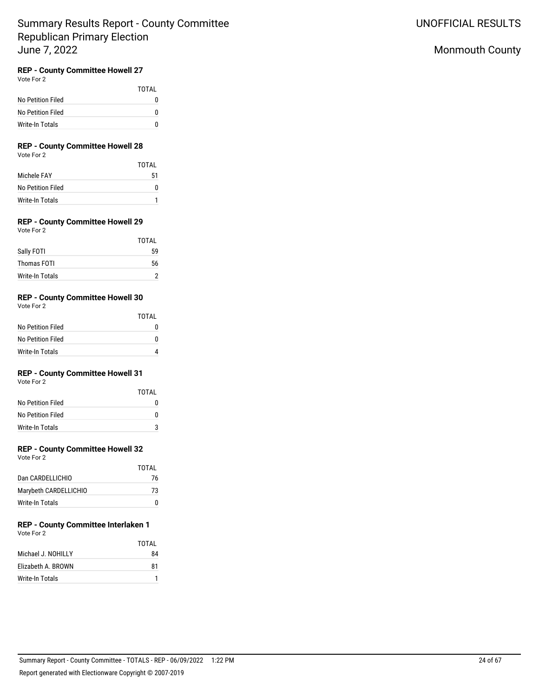# **REP - County Committee Howell 27**

Vote For 2

|                   | TOTAI |
|-------------------|-------|
| No Petition Filed | O     |
| No Petition Filed | n     |
| Write-In Totals   | n     |

## **REP - County Committee Howell 28**

Vote For 2

|                   | TOTAI |
|-------------------|-------|
| Michele FAY       | 51    |
| No Petition Filed | n     |
| Write-In Totals   |       |

## **REP - County Committee Howell 29**

Vote For 2

|                 | <b>TOTAL</b> |
|-----------------|--------------|
| Sally FOTI      | 59           |
| Thomas FOTI     | 56           |
| Write-In Totals |              |

### **REP - County Committee Howell 30**

Vote For 2

|                   | TOTAI |
|-------------------|-------|
| No Petition Filed | 0     |
| No Petition Filed | 0     |
| Write-In Totals   |       |

## **REP - County Committee Howell 31**

Vote For 2

|                   | TOTAI |
|-------------------|-------|
| No Petition Filed | 0     |
| No Petition Filed | U     |
| Write-In Totals   | ঽ     |

### **REP - County Committee Howell 32**

Vote For 2

|                       | TOTAI |
|-----------------------|-------|
| Dan CARDELLICHIO      | 76    |
| Marybeth CARDELLICHIO | 73    |
| Write-In Totals       | O     |

#### **REP - County Committee Interlaken 1** Vote For 2

|                    | TOTAI |
|--------------------|-------|
| Michael J. NOHILLY | 84    |
| Elizabeth A. BROWN | 81    |
| Write-In Totals    |       |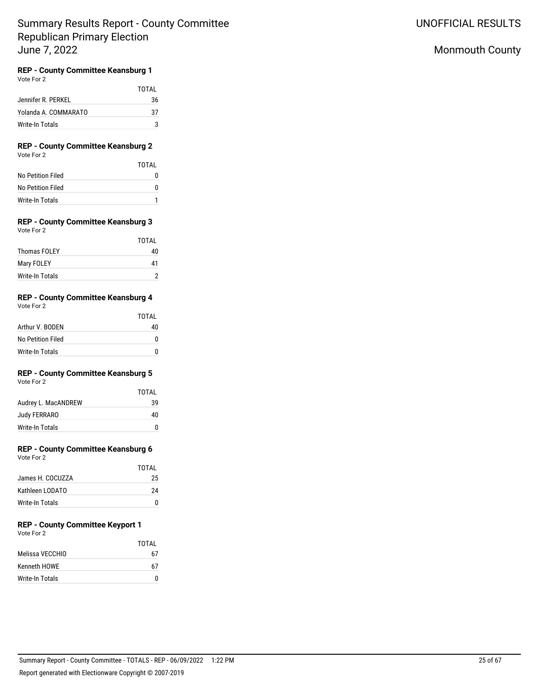## Monmouth County

## **REP - County Committee Keansburg 1**

Vote For 2

|                      | TOTAI |
|----------------------|-------|
| Jennifer R. PERKEL   | 36    |
| Yolanda A. COMMARATO | 37    |
| Write-In Totals      | ৽ঽ    |

### **REP - County Committee Keansburg 2** Vote For 2

|                   | TOTAI |
|-------------------|-------|
| No Petition Filed |       |
| No Petition Filed |       |
| Write-In Totals   |       |

#### **REP - County Committee Keansburg 3** Vote For 2

|                        | <b>TOTAL</b> |
|------------------------|--------------|
| <b>Thomas FOLEY</b>    | 40           |
| Mary FOLEY             | 41           |
| <b>Write-In Totals</b> |              |

## **REP - County Committee Keansburg 4**

Vote For 2

|                   | TOTAI |
|-------------------|-------|
| Arthur V. BODEN   | 40    |
| No Petition Filed |       |
| Write-In Totals   |       |

## **REP - County Committee Keansburg 5**

Vote For 2

|                     | TOTAI |
|---------------------|-------|
| Audrey L. MacANDREW | 39    |
| Judy FERRARO        | 40    |
| Write-In Totals     | n     |

## **REP - County Committee Keansburg 6**

Vote For 2

|                  | TOTAI |
|------------------|-------|
| James H. COCUZZA | 25    |
| Kathleen LODATO  | 24    |
| Write-In Totals  | o     |

# **REP - County Committee Keyport 1**

Vote For 2

|                     | TOTAI |
|---------------------|-------|
| Melissa VECCHIO     | 67    |
| <b>Kenneth HOWE</b> | 67    |
| Write-In Totals     | n     |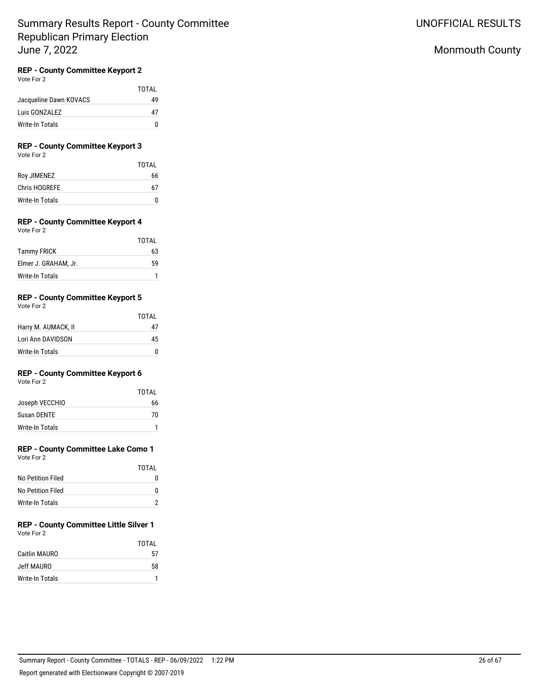## **REP - County Committee Keyport 2**

Vote For 2

|                        | TOTAI |
|------------------------|-------|
| Jacqueline Dawn KOVACS | 49    |
| Luis GONZALEZ          | 47    |
| Write-In Totals        |       |

## **REP - County Committee Keyport 3**

Vote For 2

|                 | TOTAI |
|-----------------|-------|
| Roy JIMENEZ     | 66    |
| Chris HOGREFE   | 67    |
| Write-In Totals | 0     |

## **REP - County Committee Keyport 4**

Vote For 2

|                      | TOTAI |
|----------------------|-------|
| <b>Tammy FRICK</b>   | 63    |
| Elmer J. GRAHAM. Jr. | 59    |
| Write-In Totals      |       |

## **REP - County Committee Keyport 5**

Vote For 2

|                     | TOTAL |
|---------------------|-------|
| Harry M. AUMACK, II | 47    |
| Lori Ann DAVIDSON   | 45    |
| Write-In Totals     | n     |

### **REP - County Committee Keyport 6**

Vote For 2

|                 | TOTAI |
|-----------------|-------|
| Joseph VECCHIO  | 66    |
| Susan DENTE     | 70    |
| Write-In Totals |       |

## **REP - County Committee Lake Como 1**

Vote For 2

|                   | TOTAI |
|-------------------|-------|
| No Petition Filed | 0     |
| No Petition Filed | O     |
| Write-In Totals   |       |

#### **REP - County Committee Little Silver 1** Vote For 2

|                 | TOTAI |
|-----------------|-------|
| Caitlin MAURO   | 57    |
| Jeff MAURO      | 58    |
| Write-In Totals |       |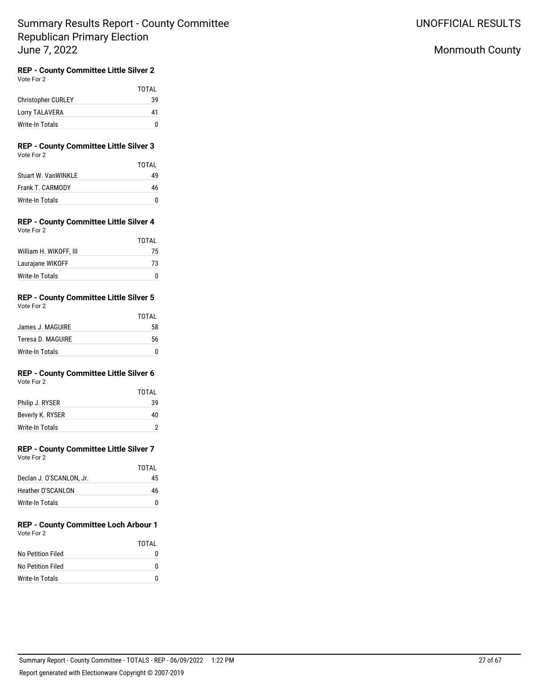## Monmouth County

# **REP - County Committee Little Silver 2**

| Vote For 2 |  |
|------------|--|
|            |  |

|                           | TOTAL |
|---------------------------|-------|
| <b>Christopher CURLEY</b> | 39    |
| <b>Lorry TALAVERA</b>     | 41    |
| Write-In Totals           | n     |

### **REP - County Committee Little Silver 3** Vote For 2

|                            | TOTAI |
|----------------------------|-------|
| <b>Stuart W. VanWINKLE</b> | 49    |
| Frank T. CARMODY           | 46    |
| Write-In Totals            | n     |

### **REP - County Committee Little Silver 4** Vote For 2

|                        | TOTAI |
|------------------------|-------|
| William H. WIKOFF, III | 75    |
| Laurajane WIKOFF       | 73    |
| Write-In Totals        |       |

#### **REP - County Committee Little Silver 5** Vote For 2

| $\cdots$          |       |
|-------------------|-------|
|                   | TOTAL |
| James J. MAGUIRE  | 58    |
| Teresa D. MAGUIRE | 56    |
| Write-In Totals   |       |

# **REP - County Committee Little Silver 6**

Vote For 2

|                  | TOTAI |
|------------------|-------|
| Philip J. RYSER  | 39    |
| Beverly K. RYSER | 40    |
| Write-In Totals  |       |

# **REP - County Committee Little Silver 7**

| Vote For 2 |  |
|------------|--|
|            |  |

|                          | TOTAL |
|--------------------------|-------|
| Declan J. O'SCANLON, Jr. | 45    |
| Heather O'SCANI ON       | 46    |
| Write-In Totals          | O     |

#### **REP - County Committee Loch Arbour 1** Vote For 2

|                   | TOTAI |
|-------------------|-------|
| No Petition Filed | n     |
| No Petition Filed | o     |
| Write-In Totals   | n     |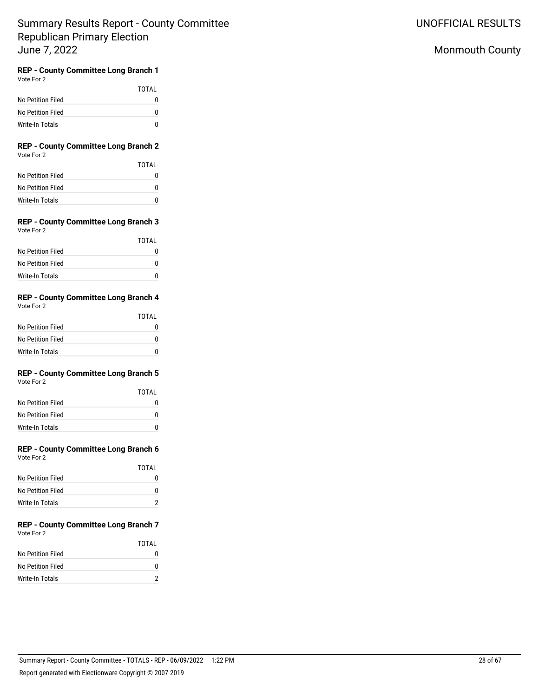UNOFFICIAL RESULTS

## Monmouth County

#### **REP - County Committee Long Branch 1** Vote For 2

|                        | TOTAI |
|------------------------|-------|
| No Petition Filed      |       |
| No Petition Filed      |       |
| <b>Write-In Totals</b> |       |

### **REP - County Committee Long Branch 2** Vote For 2

|                   | TOTAI |
|-------------------|-------|
| No Petition Filed |       |
| No Petition Filed | O     |
| Write-In Totals   | n     |

### **REP - County Committee Long Branch 3** Vote For 2

|                   | TOTAI |
|-------------------|-------|
| No Petition Filed |       |
| No Petition Filed | n     |
| Write-In Totals   |       |

### **REP - County Committee Long Branch 4** Vote For 2

|                   | TOTAL |
|-------------------|-------|
| No Petition Filed |       |
| No Petition Filed |       |
| Write-In Totals   |       |

#### **REP - County Committee Long Branch 5** Vote For 2

|                   | TOTAL |
|-------------------|-------|
| No Petition Filed | N     |
| No Petition Filed | n     |
| Write-In Totals   | n     |

# **REP - County Committee Long Branch 6**

| Vote For 2 |  |
|------------|--|
|            |  |

|                   | TOTAI |
|-------------------|-------|
| No Petition Filed |       |
| No Petition Filed |       |
| Write-In Totals   |       |

#### **REP - County Committee Long Branch 7** Vote For 2

|                   | TOTAI |
|-------------------|-------|
| No Petition Filed |       |
| No Petition Filed | n     |
| Write-In Totals   |       |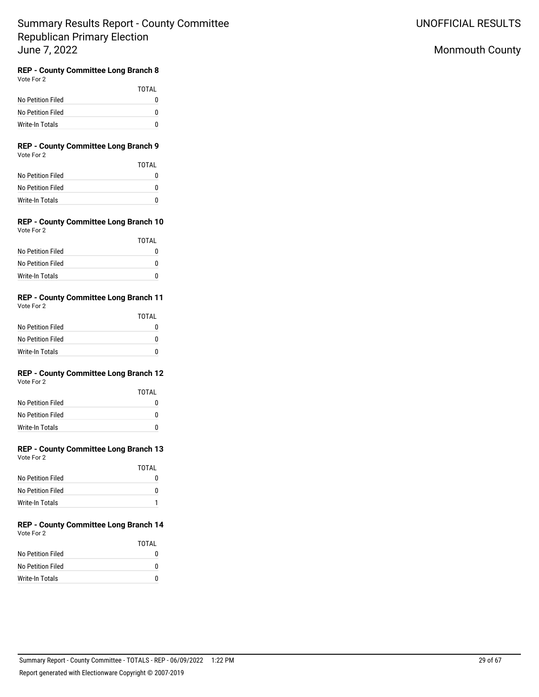## Monmouth County

#### **REP - County Committee Long Branch 8** Vote For 2

|                   | TOTAI |
|-------------------|-------|
| No Petition Filed | 0     |
| No Petition Filed | 0     |
| Write-In Totals   | n     |

### **REP - County Committee Long Branch 9** Vote For 2

|                   | TOTAI |
|-------------------|-------|
| No Petition Filed | 0     |
| No Petition Filed | n     |
| Write-In Totals   | n     |

### **REP - County Committee Long Branch 10** Vote For 2

|                   | TOTAI |
|-------------------|-------|
| No Petition Filed |       |
| No Petition Filed | O     |
| Write-In Totals   | O     |

#### **REP - County Committee Long Branch 11** Vote For 2

| $\cdots$          |       |
|-------------------|-------|
|                   | TOTAL |
| No Petition Filed |       |
| No Petition Filed |       |
| Write-In Totals   |       |

#### **REP - County Committee Long Branch 12** Vote For 2

|                   | TOTAL |
|-------------------|-------|
| No Petition Filed | N     |
| No Petition Filed | N     |
| Write-In Totals   | n     |

# **REP - County Committee Long Branch 13**

| Vote For 2 |  |
|------------|--|
|            |  |

|                   | TOTAI |
|-------------------|-------|
| No Petition Filed |       |
| No Petition Filed |       |
| Write-In Totals   |       |

### **REP - County Committee Long Branch 14** Vote For 2

|                   | TOTAI |
|-------------------|-------|
| No Petition Filed | O     |
| No Petition Filed | n     |
| Write-In Totals   | n     |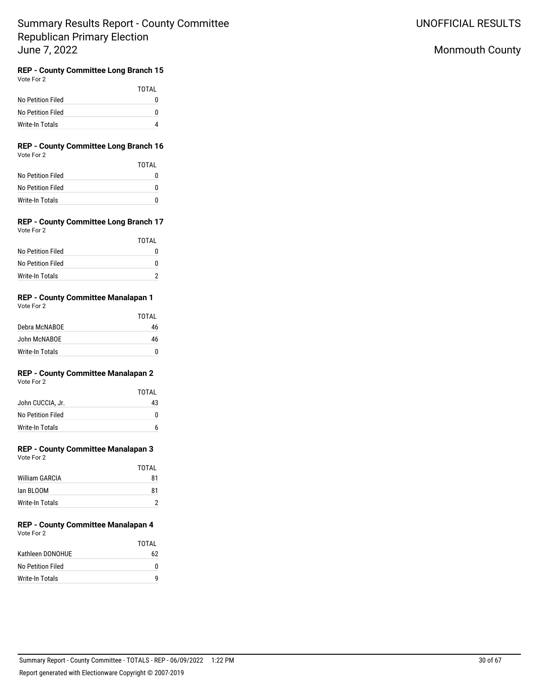## Monmouth County

#### **REP - County Committee Long Branch 15** Vote For 2

|                   | TOTAI |
|-------------------|-------|
| No Petition Filed |       |
| No Petition Filed |       |
| Write-In Totals   |       |

### **REP - County Committee Long Branch 16** Vote For 2

|                   | TOTAI |
|-------------------|-------|
| No Petition Filed |       |
| No Petition Filed |       |
| Write-In Totals   |       |

### **REP - County Committee Long Branch 17** Vote For 2

|                   | TOTAI |
|-------------------|-------|
| No Petition Filed |       |
| No Petition Filed |       |
| Write-In Totals   |       |

## **REP - County Committee Manalapan 1**

|                 | <b>TOTAL</b> |
|-----------------|--------------|
| Debra McNABOE   | 46           |
| John McNABOE    | 46           |
| Write-In Totals | n            |

## **REP - County Committee Manalapan 2**

Vote For 2

|                   | TOTAI |
|-------------------|-------|
| John CUCCIA, Jr.  | 43    |
| No Petition Filed | O     |
| Write-In Totals   |       |

## **REP - County Committee Manalapan 3**

|                 | TOTAI |
|-----------------|-------|
| William GARCIA  | 81    |
| Jan BI 00M      | 81    |
| Write-In Totals |       |

#### **REP - County Committee Manalapan 4** Vote For 2

|                   | TOTAI |
|-------------------|-------|
| Kathleen DONOHUE  | 62    |
| No Petition Filed | n     |
| Write-In Totals   | a     |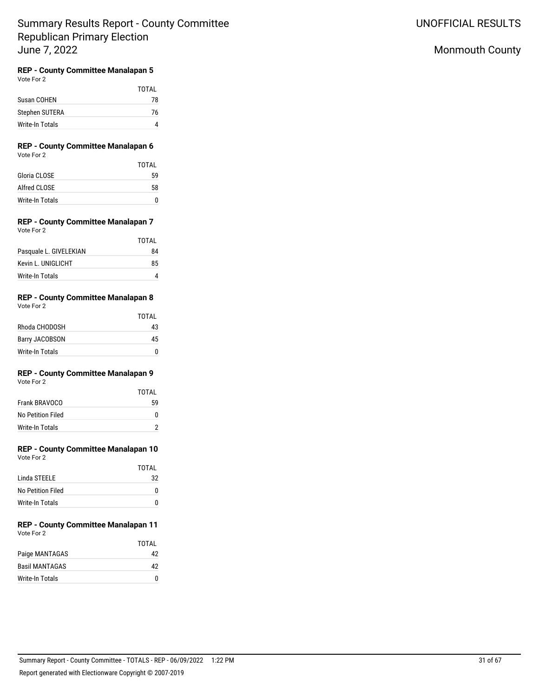## Monmouth County

## **REP - County Committee Manalapan 5**

Vote For 2

|                 | TOTAI |
|-----------------|-------|
| Susan COHEN     | 78    |
| Stephen SUTERA  | 76    |
| Write-In Totals |       |

### **REP - County Committee Manalapan 6** Vote For 2

|                 | TOTAL |
|-----------------|-------|
| Gloria CLOSE    | 59    |
| Alfred CLOSE    | 58    |
| Write-In Totals |       |

#### **REP - County Committee Manalapan 7** Vote For 2

|                        | TOTAL |
|------------------------|-------|
| Pasquale L. GIVELEKIAN | 84    |
| Kevin L. UNIGLICHT     | 85    |
| Write-In Totals        |       |

## **REP - County Committee Manalapan 8**

| Vote For 2 |  |
|------------|--|
|            |  |

|                       | TOTAI |
|-----------------------|-------|
| Rhoda CHODOSH         | 43    |
| <b>Barry JACOBSON</b> | 45    |
| Write-In Totals       | n     |

## **REP - County Committee Manalapan 9**

Vote For 2

|                   | TOTAI |
|-------------------|-------|
| Frank BRAVOCO     | 59    |
| No Petition Filed |       |
| Write-In Totals   |       |

# **REP - County Committee Manalapan 10**

Vote For 2

|                   | TOTAI |
|-------------------|-------|
| Linda STFFLF      | 32    |
| No Petition Filed | O     |
| Write-In Totals   | n     |

#### **REP - County Committee Manalapan 11** Vote For 2

|                       | TOTAI |
|-----------------------|-------|
| Paige MANTAGAS        | 42    |
| <b>Basil MANTAGAS</b> | 42    |
| Write-In Totals       | n     |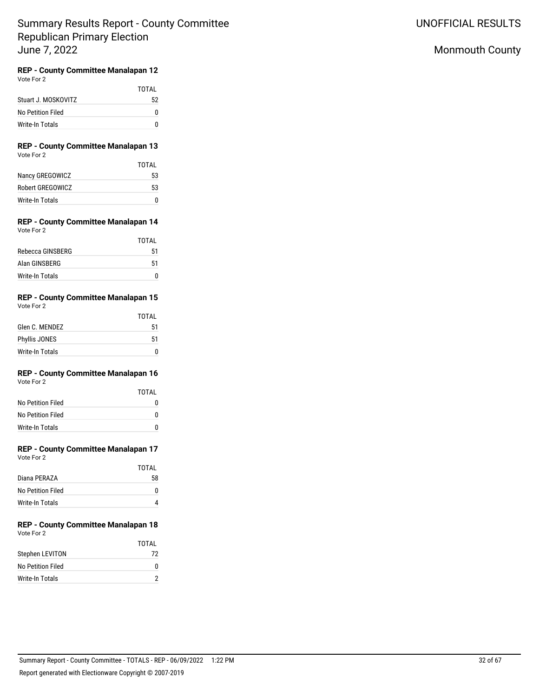## Monmouth County

#### **REP - County Committee Manalapan 12** Vote For 2

|                     | TOTAL |
|---------------------|-------|
| Stuart J. MOSKOVITZ | 52    |
| No Petition Filed   | O     |
| Write-In Totals     |       |

### **REP - County Committee Manalapan 13** Vote For 2

|                  | TOTAI |
|------------------|-------|
| Nancy GREGOWICZ  | 53    |
| Robert GREGOWICZ | 53    |
| Write-In Totals  | n     |

### **REP - County Committee Manalapan 14** Vote For 2

|                  | TOTAL |
|------------------|-------|
| Rebecca GINSBERG | 51    |
| Alan GINSBERG    | 51    |
| Write-In Totals  |       |

#### **REP - County Committee Manalapan 15** Vote For 2

| $\cdots$             | <b>TOTAL</b> |
|----------------------|--------------|
| Glen C. MENDEZ       | 51           |
| <b>Phyllis JONES</b> | 51           |
| Write-In Totals      | n            |

#### **REP - County Committee Manalapan 16** Vote For 2

|                   | TOTAL |
|-------------------|-------|
| No Petition Filed | N     |
| No Petition Filed | ŋ     |
| Write-In Totals   | n     |

# **REP - County Committee Manalapan 17**

| Vote For 2 |  |
|------------|--|
|            |  |

|                   | TOTAL |
|-------------------|-------|
| Diana PFRAZA      | 58    |
| No Petition Filed |       |
| Write-In Totals   |       |

#### **REP - County Committee Manalapan 18** Vote For 2

|                   | TOTAI |
|-------------------|-------|
| Stephen LEVITON   | 72    |
| No Petition Filed | n     |
| Write-In Totals   |       |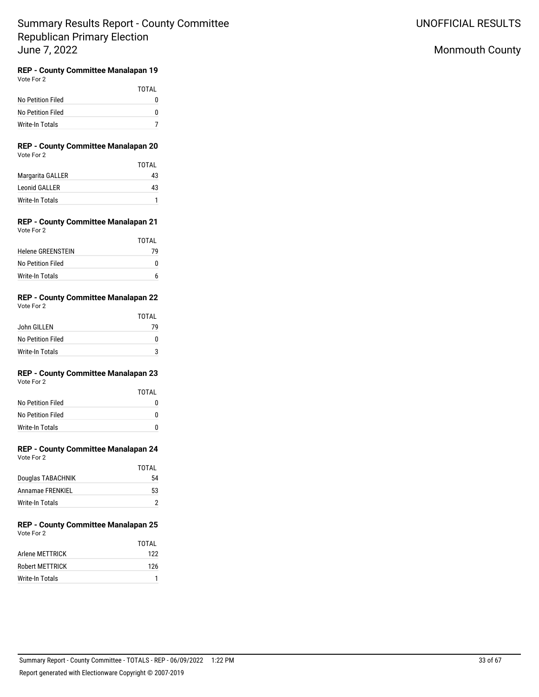## Monmouth County

# **REP - County Committee Manalapan 19**

|                   | <b>TOTAL</b> |
|-------------------|--------------|
| No Petition Filed | O            |
| No Petition Filed | O            |
| Write-In Totals   |              |

### **REP - County Committee Manalapan 20** Vote For 2

|                  | TOTAI |
|------------------|-------|
| Margarita GALLER | 43    |
| Leonid GALLER    | 43    |
| Write-In Totals  |       |

### **REP - County Committee Manalapan 21** Vote For 2

|                          | TOTAI |
|--------------------------|-------|
| <b>Helene GREENSTEIN</b> | 79    |
| No Petition Filed        |       |
| Write-In Totals          |       |

#### **REP - County Committee Manalapan 22** Vote For 2

| $\cdots$          | TOTAL |
|-------------------|-------|
| John GILLEN       | 79    |
| No Petition Filed | n     |
| Write-In Totals   | ঽ     |

#### **REP - County Committee Manalapan 23** Vote For 2

TOTAL

| VULE FULZ         |  |
|-------------------|--|
|                   |  |
| No Detition Eiled |  |

| No Petition Filed |  |
|-------------------|--|
| No Petition Filed |  |
| Write-In Totals   |  |

# **REP - County Committee Manalapan 24**

| Vote For 2 |  |
|------------|--|
|            |  |

|                   | TOTAL |
|-------------------|-------|
| Douglas TABACHNIK | 54    |
| Annamae FRENKIEL  | 53    |
| Write-In Totals   |       |

#### **REP - County Committee Manalapan 25** Vote For 2

|                        | TOTAI |
|------------------------|-------|
| Arlene METTRICK        | 122   |
| <b>Robert METTRICK</b> | 126   |
| Write-In Totals        |       |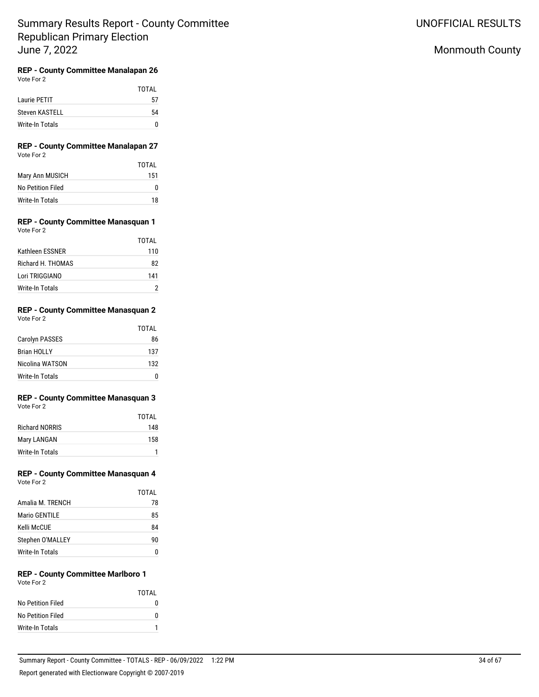UNOFFICIAL RESULTS

## Monmouth County

# **REP - County Committee Manalapan 26**<br>Vote For 2

|                 | TOTAL |
|-----------------|-------|
| Laurie PETIT    | 57    |
| Steven KASTELL  | 54    |
| Write-In Totals |       |

### **REP - County Committee Manalapan 27** Vote For 2

|                   | TOTAI |
|-------------------|-------|
| Mary Ann MUSICH   | 151   |
| No Petition Filed |       |
| Write-In Totals   | 18    |

#### **REP - County Committee Manasquan 1** Vote For 2

|                   | TOTAI |
|-------------------|-------|
| Kathleen ESSNER   | 110   |
| Richard H. THOMAS | 82    |
| Lori TRIGGIANO    | 141   |
| Write-In Totals   |       |

#### **REP - County Committee Manasquan 2** Vote For 2

|                       | TOTAL |  |
|-----------------------|-------|--|
| <b>Carolyn PASSES</b> | 86    |  |
| <b>Brian HOLLY</b>    | 137   |  |
| Nicolina WATSON       | 132   |  |
| Write-In Totals       |       |  |

### **REP - County Committee Manasquan 3** Vote For 2

|                       | TOTAI |
|-----------------------|-------|
| <b>Richard NORRIS</b> | 148   |
| Mary LANGAN           | 158   |
| Write-In Totals       |       |

#### **REP - County Committee Manasquan 4** Vote For 2

|                      | TOTAL |
|----------------------|-------|
| Amalia M. TRENCH     | 78    |
| <b>Mario GENTILE</b> | 85    |
| Kelli McCUE          | 84    |
| Stephen O'MALLEY     | 90    |
| Write-In Totals      |       |

### **REP - County Committee Marlboro 1** Vote For 2

|                   | TOTAI |
|-------------------|-------|
| No Petition Filed | n     |
| No Petition Filed | n     |
| Write-In Totals   |       |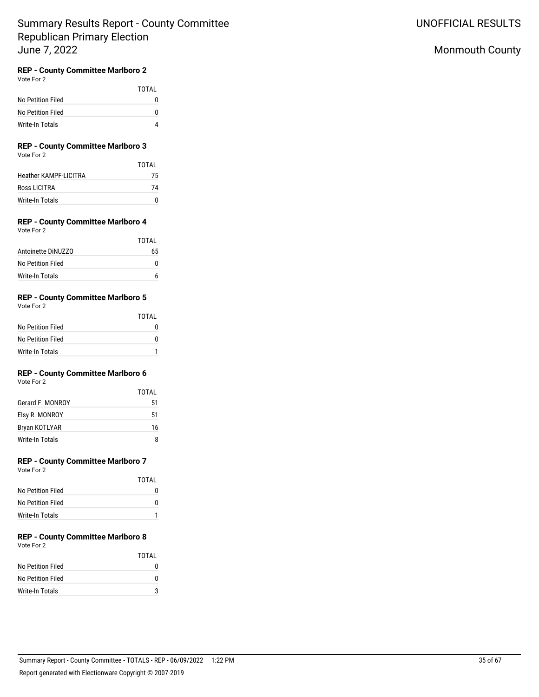## Monmouth County

## **REP - County Committee Marlboro 2**

Vote For 2

|                   | TOTAI |
|-------------------|-------|
| No Petition Filed | O     |
| No Petition Filed | O     |
| Write-In Totals   |       |

#### **REP - County Committee Marlboro 3** Vote For 2

|  |  | <b>VULE FUL Z</b> |  |
|--|--|-------------------|--|
|  |  |                   |  |

|                              | TOTAI |
|------------------------------|-------|
| <b>Heather KAMPF-LICITRA</b> | 75    |
| Ross LICITRA                 | 74    |
| Write-In Totals              |       |

## **REP - County Committee Marlboro 4**

| Vote For |  |  |
|----------|--|--|
|----------|--|--|

|                    | TOTAI |
|--------------------|-------|
| Antoinette DiNUZZO | 65    |
| No Petition Filed  |       |
| Write-In Totals    |       |

## **REP - County Committee Marlboro 5**

Vote For 2

|                        | <b>TOTAL</b> |
|------------------------|--------------|
| No Petition Filed      |              |
| No Petition Filed      |              |
| <b>Write-In Totals</b> |              |

## **REP - County Committee Marlboro 6**

Vote For 2

|                  | TOTAI |
|------------------|-------|
| Gerard F. MONROY | 51    |
| Elsy R. MONROY   | 51    |
| Bryan KOTLYAR    | 16    |
| Write-In Totals  | я     |

## **REP - County Committee Marlboro 7**

Vote For 2

|                   | TOTAI |
|-------------------|-------|
| No Petition Filed | 0     |
| No Petition Filed | O     |
| Write-In Totals   |       |

### **REP - County Committee Marlboro 8** Vote For 2

|                   | TOTAI |
|-------------------|-------|
| No Petition Filed |       |
| No Petition Filed | n     |
| Write-In Totals   |       |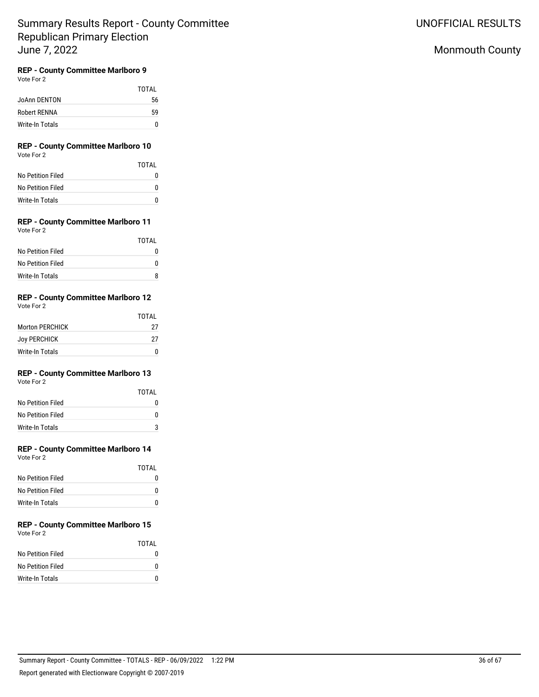## Monmouth County

## **REP - County Committee Marlboro 9**

Vote For 2

|                 | TOTAI |
|-----------------|-------|
| JoAnn DENTON    | 56    |
| Robert RENNA    | 59    |
| Write-In Totals | n     |

### **REP - County Committee Marlboro 10** Vote For 2

|                   | TOTAI |
|-------------------|-------|
| No Petition Filed |       |
| No Petition Filed | n     |
| Write-In Totals   |       |

#### **REP - County Committee Marlboro 11** Vote For 2

| $\cdots$          |       |
|-------------------|-------|
|                   | TOTAL |
| No Petition Filed | O     |
| No Petition Filed | O     |
| Write-In Totals   | я     |

## **REP - County Committee Marlboro 12**

Vote For 2

|                        | TOTAI |
|------------------------|-------|
| <b>Morton PERCHICK</b> | 27    |
| <b>Joy PERCHICK</b>    | 27    |
| Write-In Totals        |       |

## **REP - County Committee Marlboro 13**

Vote For 2

|                   | TOTAI       |
|-------------------|-------------|
| No Petition Filed |             |
| No Petition Filed | $^{\prime}$ |
| Write-In Totals   |             |

## **REP - County Committee Marlboro 14**

Vote For 2

|                   | TOTAI |
|-------------------|-------|
| No Petition Filed |       |
| No Petition Filed | O     |
| Write-In Totals   | O     |

#### **REP - County Committee Marlboro 15** Vote For 2

|                   | TOTAL |
|-------------------|-------|
| No Petition Filed | n     |
| No Petition Filed | O     |
| Write-In Totals   | n     |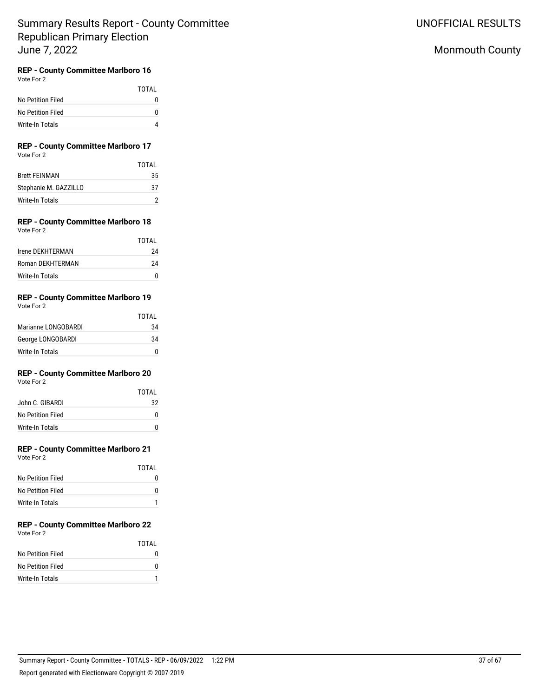## Monmouth County

## **REP - County Committee Marlboro 16**

Vote For 2

|                   | <b>TOTAL</b> |
|-------------------|--------------|
| No Petition Filed |              |
| No Petition Filed |              |
| Write-In Totals   |              |

### **REP - County Committee Marlboro 17** Vote For 2

|                       | TOTAI |
|-----------------------|-------|
| <b>Brett FEINMAN</b>  | 35    |
| Stephanie M. GAZZILLO | -37   |
| Write-In Totals       |       |

#### **REP - County Committee Marlboro 18** Vote For 2

| VULTE FUILL      | TOTAL |
|------------------|-------|
| Irene DEKHTERMAN | 24    |
| Roman DEKHTERMAN | 24    |
| Write-In Totals  |       |

#### **REP - County Committee Marlboro 19** Vote For 2

| VULE FUI Z          |       |
|---------------------|-------|
|                     | TOTAL |
| Marianne LONGOBARDI | 34    |
| George LONGOBARDI   | 34    |
| Write-In Totals     | n     |

## **REP - County Committee Marlboro 20**

Vote For 2

|                   | TOTAI |
|-------------------|-------|
| John C. GIBARDI   | 32    |
| No Petition Filed | n     |
| Write-In Totals   |       |

## **REP - County Committee Marlboro 21**

Vote For 2

|                   | TOTAI        |
|-------------------|--------------|
| No Petition Filed | $\mathbf{I}$ |
| No Petition Filed | O            |
| Write-In Totals   |              |

#### **REP - County Committee Marlboro 22** Vote For 2

|                   | TOTAL |
|-------------------|-------|
| No Petition Filed |       |
| No Petition Filed |       |
| Write-In Totals   |       |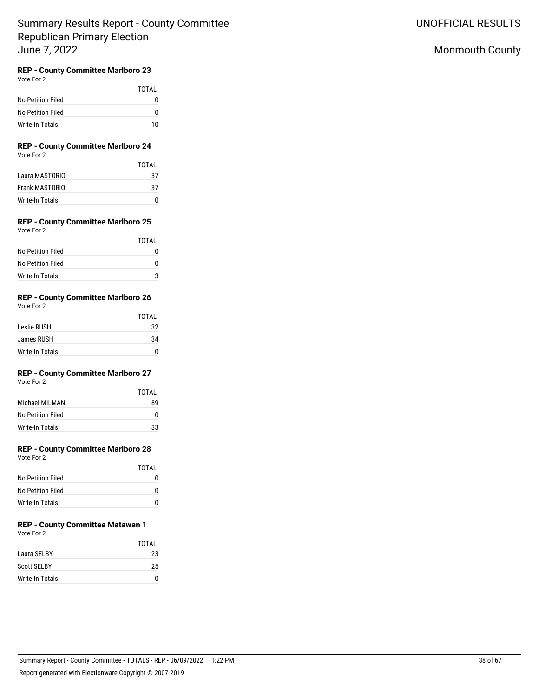## Monmouth County

## **REP - County Committee Marlboro 23**

Vote For 2

|                   | TOTAI |
|-------------------|-------|
| No Petition Filed | o     |
| No Petition Filed | o     |
| Write-In Totals   | 10    |

### **REP - County Committee Marlboro 24** Vote For 2

|                 | TOTAI |
|-----------------|-------|
| Laura MASTORIO  | 37    |
| Frank MASTORIO  | -37   |
| Write-In Totals |       |

#### **REP - County Committee Marlboro 25** Vote For 2

| <b>TOTAL</b> |
|--------------|
|              |
|              |
|              |
|              |

## **REP - County Committee Marlboro 26**

Vote For 2

|                 | <b>TOTAL</b> |
|-----------------|--------------|
| Leslie RUSH     | 32           |
| James RUSH      | 34           |
| Write-In Totals | n            |

## **REP - County Committee Marlboro 27**

Vote For 2

|                   | TOTAI |
|-------------------|-------|
| Michael MII MAN   | 89    |
| No Petition Filed | n     |
| Write-In Totals   | 33    |

## **REP - County Committee Marlboro 28**

Vote For 2

|                   | TOTAL |
|-------------------|-------|
| No Petition Filed |       |
| No Petition Filed | 0     |
| Write-In Totals   |       |

# **REP - County Committee Matawan 1**

Vote For 2

|                    | TOTAI |
|--------------------|-------|
| Laura SELBY        | 23    |
| <b>Scott SELBY</b> | 25    |
| Write-In Totals    | n     |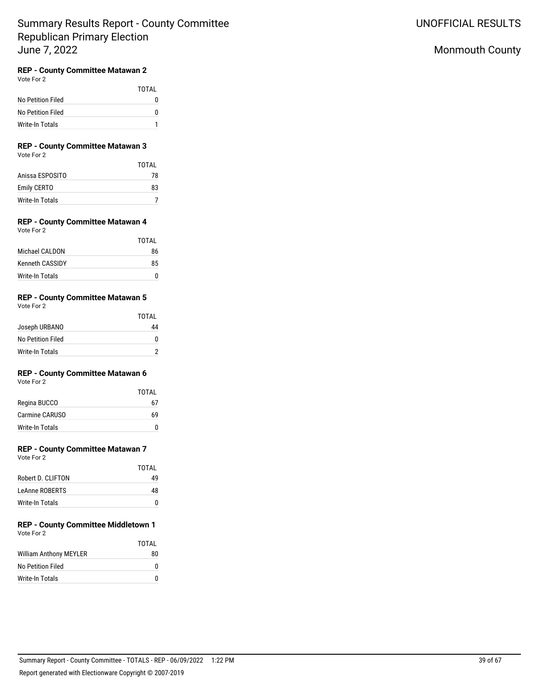# UNOFFICIAL RESULTS

# Monmouth County

## **REP - County Committee Matawan 2**

Vote For 2

|                   | TOTAI    |
|-------------------|----------|
| No Petition Filed | $^{(1)}$ |
| No Petition Filed | n        |
| Write-In Totals   |          |

### **REP - County Committee Matawan 3** Vote For 2

|                        | <b>TOTAL</b> |
|------------------------|--------------|
| Anissa ESPOSITO        | 78           |
| Emily CERTO            | 83           |
| <b>Write-In Totals</b> |              |

#### **REP - County Committee Matawan 4** Vote For 2

| $\cdots$               |       |
|------------------------|-------|
|                        | TOTAL |
| Michael CALDON         | 86    |
| <b>Kenneth CASSIDY</b> | 85    |
| Write-In Totals        |       |

## **REP - County Committee Matawan 5**

Vote For 2

|                   | <b>TOTAL</b> |
|-------------------|--------------|
| Joseph URBANO     | 44           |
| No Petition Filed |              |
| Write-In Totals   |              |

## **REP - County Committee Matawan 6**

Vote For 2

|                 | TOTAI |
|-----------------|-------|
| Regina BUCCO    | 67    |
| Carmine CARUSO  | 69    |
| Write-In Totals | n     |

## **REP - County Committee Matawan 7**

Vote For 2

|                   | TOTAI |
|-------------------|-------|
| Robert D. CLIFTON | 49    |
| LeAnne ROBERTS    | 48    |
| Write-In Totals   | O     |

#### **REP - County Committee Middletown 1** Vote For 2

|                               | TOTAL |
|-------------------------------|-------|
| <b>William Anthony MEYLER</b> | 80    |
| No Petition Filed             | O     |
| Write-In Totals               | n     |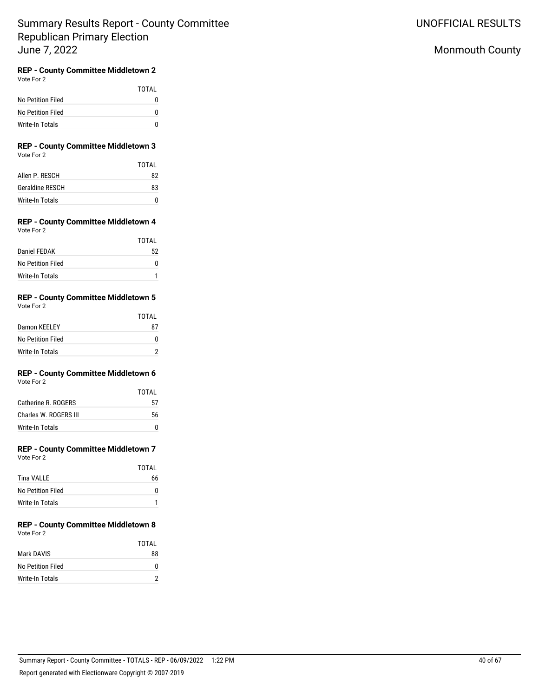## Monmouth County

# **REP - County Committee Middletown 2**

Vote For 2

|                   | TOTAI    |
|-------------------|----------|
| No Petition Filed | $^{(1)}$ |
| No Petition Filed | O        |
| Write-In Totals   |          |

### **REP - County Committee Middletown 3** Vote For 2

|                        | TOTAI |
|------------------------|-------|
| Allen P. RESCH         | 82    |
| <b>Geraldine RESCH</b> | 83    |
| Write-In Totals        |       |

#### **REP - County Committee Middletown 4** Vote For 2

|                   | TOTAI |
|-------------------|-------|
| Daniel FFDAK      | 52    |
| No Petition Filed | n     |
| Write-In Totals   |       |

#### **REP - County Committee Middletown 5** Vote For 2

| $\cdots$          |       |
|-------------------|-------|
|                   | TOTAL |
| Damon KEELEY      | 87    |
| No Petition Filed |       |
| Write-In Totals   |       |

# **REP - County Committee Middletown 6**

|                       | TOTAI |
|-----------------------|-------|
| Catherine R. ROGERS   | 57    |
| Charles W. ROGERS III | 56    |
| Write-In Totals       |       |

# **REP - County Committee Middletown 7**

Vote For 2

|                   | <b>TOTAL</b> |
|-------------------|--------------|
| <b>Tina VALLE</b> | 66           |
| No Petition Filed |              |
| Write-In Totals   |              |

#### **REP - County Committee Middletown 8** Vote For 2

|                        | TOTAI |
|------------------------|-------|
| Mark DAVIS             | 88    |
| No Petition Filed      | O     |
| <b>Write-In Totals</b> |       |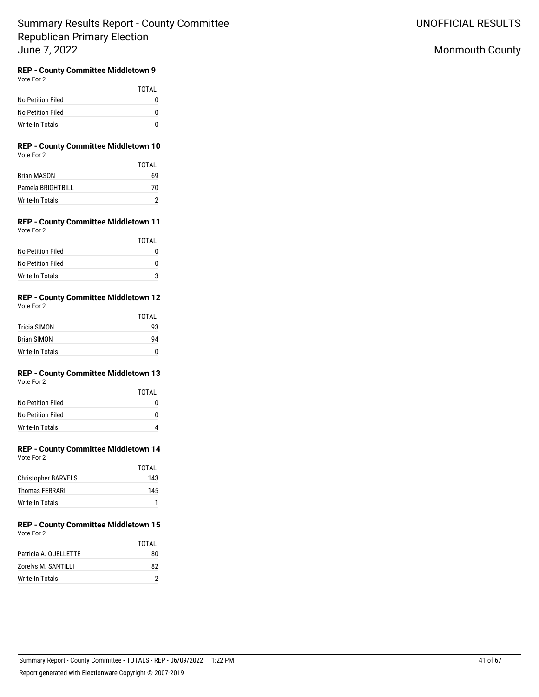## Monmouth County

# **REP - County Committee Middletown 9**

Vote For 2

|                   | <b>TOTAL</b> |
|-------------------|--------------|
| No Petition Filed |              |
| No Petition Filed | O            |
| Write-In Totals   |              |

### **REP - County Committee Middletown 10** Vote For 2

|                   | TOTAI |
|-------------------|-------|
| Brian MASON       | 69    |
| Pamela BRIGHTBILL | 70    |
| Write-In Totals   |       |

### **REP - County Committee Middletown 11** Vote For 2

|                   | TOTAL |
|-------------------|-------|
| No Petition Filed |       |
| No Petition Filed | n     |
| Write-In Totals   | 3     |

#### **REP - County Committee Middletown 12** Vote For 2

|                    | TOTAL |
|--------------------|-------|
| Tricia SIMON       | 93    |
| <b>Brian SIMON</b> | 94    |
| Write-In Totals    | n     |

#### **REP - County Committee Middletown 13** Vote For 2

| VULTE FUIZ        |       |
|-------------------|-------|
|                   | TOTAL |
| No Petition Filed | n     |
| No Petition Filed | n     |
| Write-In Totals   |       |

# **REP - County Committee Middletown 14**

| Vote For |  |
|----------|--|
|----------|--|

|                            | TOTAL |
|----------------------------|-------|
| <b>Christopher BARVELS</b> | 143   |
| Thomas FERRARI             | 145   |
| Write-In Totals            |       |

#### **REP - County Committee Middletown 15** Vote For 2

|                       | TOTAI |
|-----------------------|-------|
| Patricia A. OUELLETTE | 80    |
| Zorelys M. SANTILLI   | 82    |
| Write-In Totals       |       |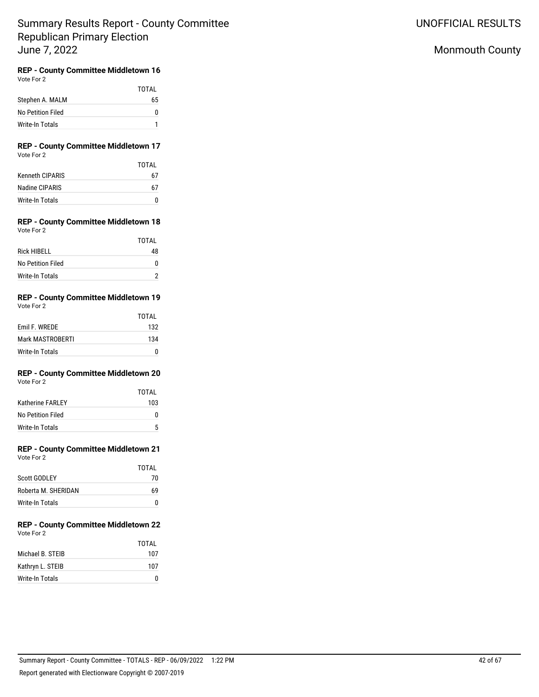## Monmouth County

#### **REP - County Committee Middletown 16** Vote For 2

|                        | TOTAL |
|------------------------|-------|
| Stephen A. MALM        | 65    |
| No Petition Filed      | 0     |
| <b>Write-In Totals</b> |       |

### **REP - County Committee Middletown 17** Vote For 2

|                        | TOTAI |
|------------------------|-------|
| <b>Kenneth CIPARIS</b> | 67    |
| Nadine CIPARIS         | 67    |
| Write-In Totals        |       |

### **REP - County Committee Middletown 18** Vote For 2

|                    | TOTAL |
|--------------------|-------|
| <b>Rick HIBELL</b> | 48    |
| No Petition Filed  | n     |
| Write-In Totals    |       |

### **REP - County Committee Middletown 19** Vote For 2

|                  | TOTAL |
|------------------|-------|
| Emil F. WREDE    | 132   |
| Mark MASTROBERTI | 134   |
| Write-In Totals  |       |

### **REP - County Committee Middletown 20** Vote For 2

|                         | TOTAL |
|-------------------------|-------|
| <b>Katherine FARLEY</b> | 103   |
| No Petition Filed       | U     |
| Write-In Totals         | 5     |

# **REP - County Committee Middletown 21**

| Vote For 2 |  |
|------------|--|
|------------|--|

|                     | TOTAI |
|---------------------|-------|
| Scott GODLEY        | 70    |
| Roberta M. SHERIDAN | 69    |
| Write-In Totals     |       |

#### **REP - County Committee Middletown 22** Vote For 2

|                  | TOTAI |
|------------------|-------|
| Michael B. STEIB | 107   |
| Kathryn L. STEIB | 107   |
| Write-In Totals  |       |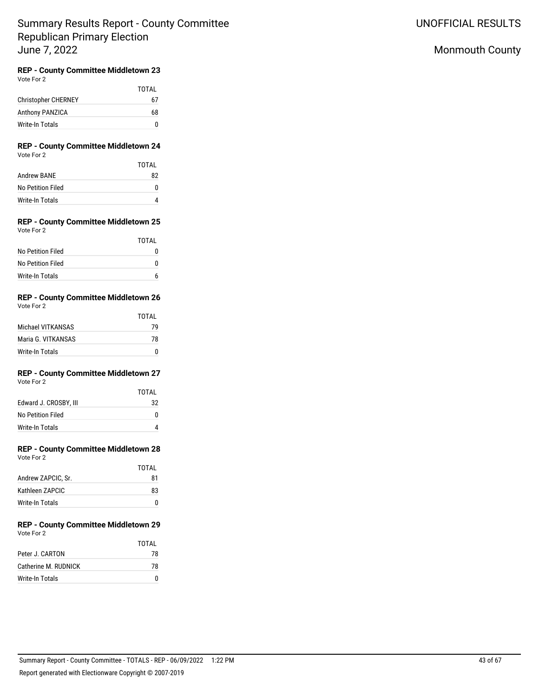## Monmouth County

#### **REP - County Committee Middletown 23** Vote For 2

|                            | TOTAL |
|----------------------------|-------|
| <b>Christopher CHERNEY</b> | 67    |
| Anthony PANZICA            | 68    |
| Write-In Totals            | n     |

### **REP - County Committee Middletown 24** Vote For 2

|                   | TOTAI |
|-------------------|-------|
| Andrew BANE       | 82    |
| No Petition Filed | O     |
| Write-In Totals   |       |

#### **REP - County Committee Middletown 25** Vote For 2

|                   | TOTAI |
|-------------------|-------|
| No Petition Filed |       |
| No Petition Filed | n     |
| Write-In Totals   |       |

### **REP - County Committee Middletown 26** Vote For 2

|                    | TOTAI |
|--------------------|-------|
| Michael VITKANSAS  | 79    |
| Maria G. VITKANSAS | 78    |
| Write-In Totals    | n     |

#### **REP - County Committee Middletown 27** Vote For 2

|                       | TOTAL |
|-----------------------|-------|
| Edward J. CROSBY, III | 32    |
| No Petition Filed     | U     |
| Write-In Totals       | 4     |

# **REP - County Committee Middletown 28**

| Vote For 2 |  |
|------------|--|
|            |  |

|                    | TOTAI |
|--------------------|-------|
| Andrew ZAPCIC, Sr. | 81    |
| Kathleen ZAPCIC    | 83    |
| Write-In Totals    |       |

### **REP - County Committee Middletown 29** Vote For 2

|                      | TOTAI |
|----------------------|-------|
| Peter J. CARTON      | 78    |
| Catherine M. RUDNICK | 78    |
| Write-In Totals      |       |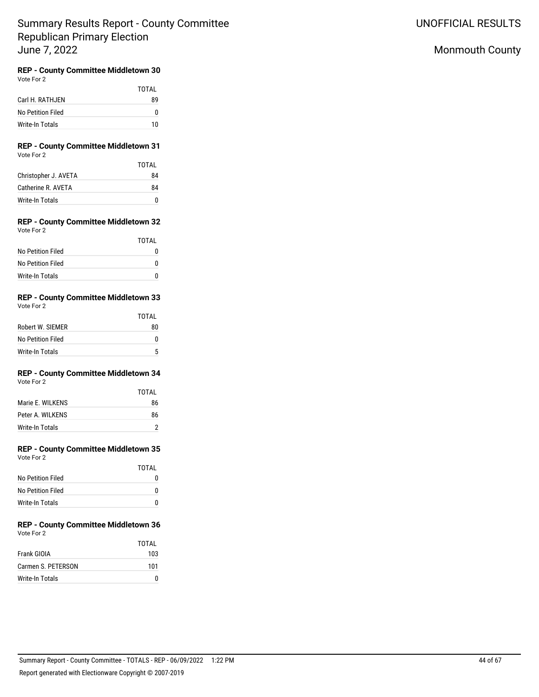UNOFFICIAL RESULTS

## Monmouth County

#### **REP - County Committee Middletown 30** Vote For 2

|                   | TOTAL |
|-------------------|-------|
| Carl H. RATHJEN   | 89    |
| No Petition Filed | 0     |
| Write-In Totals   | 10    |

### **REP - County Committee Middletown 31** Vote For 2

|                      | TOTAI |
|----------------------|-------|
| Christopher J. AVETA | 84    |
| Catherine R. AVETA   | 84    |
| Write-In Totals      |       |

#### **REP - County Committee Middletown 32** Vote For 2

| TOTAL |
|-------|
|       |
|       |
|       |
|       |

### **REP - County Committee Middletown 33** Vote For 2

|                   | TOTAI |
|-------------------|-------|
| Robert W. SIEMER  | 80    |
| No Petition Filed | O     |
| Write-In Totals   | 5     |

#### **REP - County Committee Middletown 34** Vote For 2

|                   | TOTAL |
|-------------------|-------|
| Marie F. WII KFNS | 86    |
| Peter A. WILKENS  | 86    |
| Write-In Totals   | 2     |

# **REP - County Committee Middletown 35**

| Vote For 2 |  |
|------------|--|
|            |  |

|                   | TOTAL |
|-------------------|-------|
| No Petition Filed |       |
| No Petition Filed | n     |
| Write-In Totals   | O     |

#### **REP - County Committee Middletown 36** Vote For 2

|                    | TOTAI |
|--------------------|-------|
| Frank GIOIA        | 103   |
| Carmen S. PETERSON | 101   |
| Write-In Totals    |       |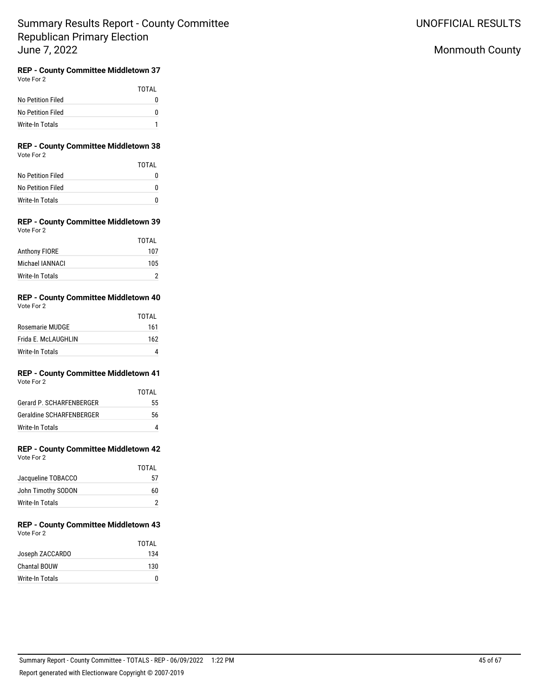## Monmouth County

#### **REP - County Committee Middletown 37** Vote For 2

|                   | TOTAL |
|-------------------|-------|
| No Petition Filed | 0     |
| No Petition Filed | 0     |
| Write-In Totals   |       |

### **REP - County Committee Middletown 38** Vote For 2

|                   | TOTAI |
|-------------------|-------|
| No Petition Filed |       |
| No Petition Filed | O     |
| Write-In Totals   | n     |

### **REP - County Committee Middletown 39** Vote For 2

|                      | TOTAL |
|----------------------|-------|
| <b>Anthony FIORE</b> | 107   |
| Michael IANNACI      | 105   |
| Write-In Totals      |       |

### **REP - County Committee Middletown 40** Vote For 2

|                     | <b>TOTAL</b> |
|---------------------|--------------|
| Rosemarie MUDGE     | 161          |
| Frida E. McLAUGHLIN | 162          |
| Write-In Totals     |              |

#### **REP - County Committee Middletown 41** Vote For 2

|                                 | TOTAI |
|---------------------------------|-------|
| Gerard P. SCHARFENBERGER        | 55    |
| <b>Geraldine SCHARFENBERGER</b> | 56    |
| Write-In Totals                 |       |

# **REP - County Committee Middletown 42**

| Vote For 2 |  |
|------------|--|
|            |  |

|                    | TOTAI |
|--------------------|-------|
| Jacqueline TOBACCO | 57    |
| John Timothy SODON | 60    |
| Write-In Totals    |       |

### **REP - County Committee Middletown 43** Vote For 2

|                     | TOTAI |
|---------------------|-------|
| Joseph ZACCARDO     | 134   |
| <b>Chantal BOUW</b> | 130   |
| Write-In Totals     |       |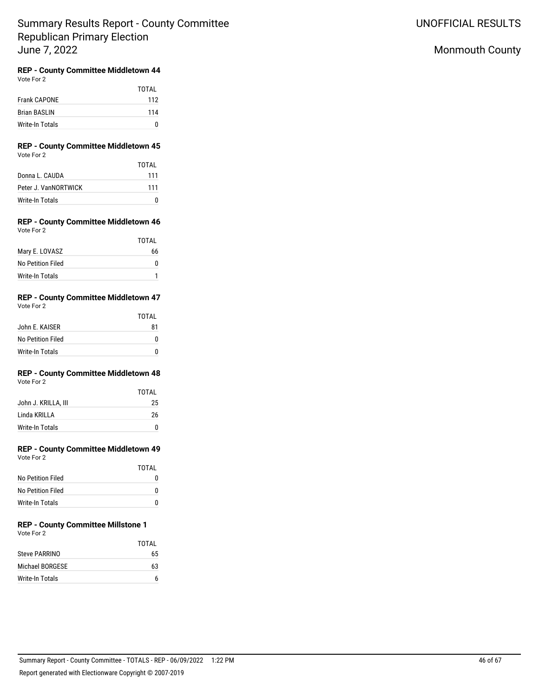## Monmouth County

#### **REP - County Committee Middletown 44** Vote For 2

|                     | TOTAI |
|---------------------|-------|
| <b>Frank CAPONE</b> | 112   |
| <b>Brian BASLIN</b> | 114   |
| Write-In Totals     | n     |

### **REP - County Committee Middletown 45** Vote For 2

|                      | TOTAI |
|----------------------|-------|
| Donna L. CAUDA       | 111   |
| Peter J. VanNORTWICK | 111   |
| Write-In Totals      |       |

### **REP - County Committee Middletown 46** Vote For 2

|                   | TOTAL |
|-------------------|-------|
| Mary E. LOVASZ    | 66    |
| No Petition Filed |       |
| Write-In Totals   |       |

#### **REP - County Committee Middletown 47** Vote For 2

| $\cdots$          |              |
|-------------------|--------------|
|                   | <b>TOTAL</b> |
| John E. KAISER    | 81           |
| No Petition Filed |              |
| Write-In Totals   |              |

#### **REP - County Committee Middletown 48** Vote For 2

|                     | TOTAL |
|---------------------|-------|
| John J. KRILLA, III | 25    |
| Linda KRILLA        | 26    |
| Write-In Totals     | n     |

# **REP - County Committee Middletown 49**

| Vote For 2 |  |
|------------|--|
|            |  |

|                   | TOTAL |
|-------------------|-------|
| No Petition Filed |       |
| No Petition Filed |       |
| Write-In Totals   |       |

#### **REP - County Committee Millstone 1** Vote For 2

|                 | TOTAI |
|-----------------|-------|
| Steve PARRINO   | 65    |
| Michael BORGESE | 63    |
| Write-In Totals |       |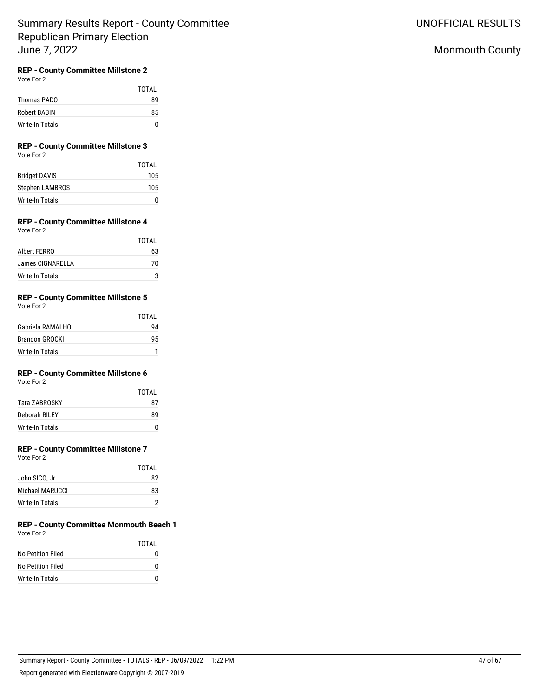## Monmouth County

## **REP - County Committee Millstone 2**

Vote For 2

|                 | <b>TOTAL</b> |
|-----------------|--------------|
| Thomas PADO     | 89           |
| Robert BABIN    | 85           |
| Write-In Totals | n            |

# **REP - County Committee Millstone 3**

|                        | TOTAL |
|------------------------|-------|
| <b>Bridget DAVIS</b>   | 105   |
| <b>Stephen LAMBROS</b> | 105   |
| Write-In Totals        | O     |

## **REP - County Committee Millstone 4**

Vote For 2

|                  | TOTAL |
|------------------|-------|
| Albert FERRO     | 63    |
| James CIGNARELLA | 70    |
| Write-In Totals  |       |

## **REP - County Committee Millstone 5**

| Vote For 2 |  |
|------------|--|
|------------|--|

|                       | TOTAI |
|-----------------------|-------|
| Gabriela RAMALHO      | 94    |
| <b>Brandon GROCKI</b> | 95    |
| Write-In Totals       |       |

### **REP - County Committee Millstone 6**

Vote For 2

|                 | TOTAI |
|-----------------|-------|
| Tara ZABROSKY   | 87    |
| Deborah RILEY   | 89    |
| Write-In Totals |       |

## **REP - County Committee Millstone 7**

Vote For 2

|                 | TOTAI |
|-----------------|-------|
| John SICO, Jr.  | 82    |
| Michael MARUCCL | 83    |
| Write-In Totals |       |

### **REP - County Committee Monmouth Beach 1** Vote For 2

|                        | TOTAI |
|------------------------|-------|
| No Petition Filed      | O     |
| No Petition Filed      | n     |
| <b>Write-In Totals</b> | n     |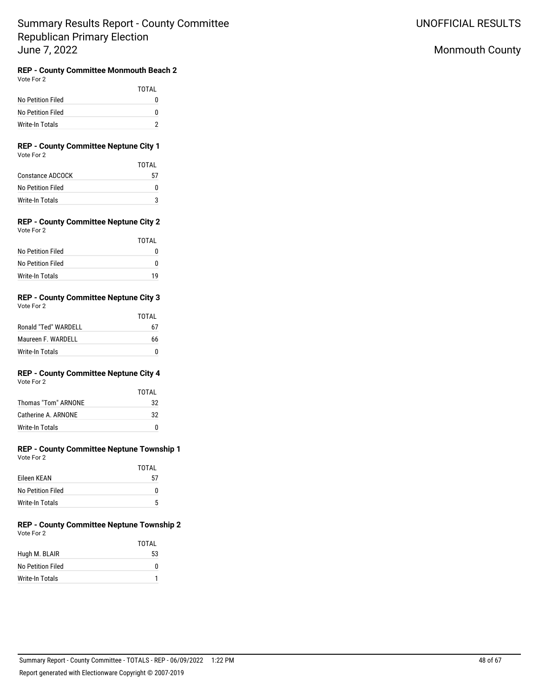## Monmouth County

### **REP - County Committee Monmouth Beach 2** Vote For 2

|                   | TOTAI |
|-------------------|-------|
| No Petition Filed | n     |
| No Petition Filed | n     |
| Write-In Totals   |       |

### **REP - County Committee Neptune City 1** Vote For 2

|                        | TOTAI |
|------------------------|-------|
| Constance ADCOCK       | 57    |
| No Petition Filed      |       |
| <b>Write-In Totals</b> |       |

#### **REP - County Committee Neptune City 2** Vote For 2

|                   | TOTAI |
|-------------------|-------|
| No Petition Filed |       |
| No Petition Filed | n     |
| Write-In Totals   | 1 Q   |

### **REP - County Committee Neptune City 3** Vote For 2

| $\cdots$             | TOTAL |
|----------------------|-------|
| Ronald "Ted" WARDELL | 67    |
| Maureen F. WARDELL   | 66    |
| Write-In Totals      |       |

#### **REP - County Committee Neptune City 4** Vote For 2

|                        | TOTAI |
|------------------------|-------|
| Thomas "Tom" ARNONE    | 32    |
| Catherine A. ARNONE    | 32    |
| <b>Write-In Totals</b> | n     |

#### **REP - County Committee Neptune Township 1** vote For

| Vote For 2 |  |
|------------|--|
|            |  |
|            |  |

|                   | TOTAI |
|-------------------|-------|
| Eileen KEAN       | 57    |
| No Petition Filed | n     |
| Write-In Totals   | 5     |

### **REP - County Committee Neptune Township 2** Vote For 2

|                   | TOTAL |
|-------------------|-------|
| Hugh M. BLAIR     | 53    |
| No Petition Filed | 0     |
| Write-In Totals   |       |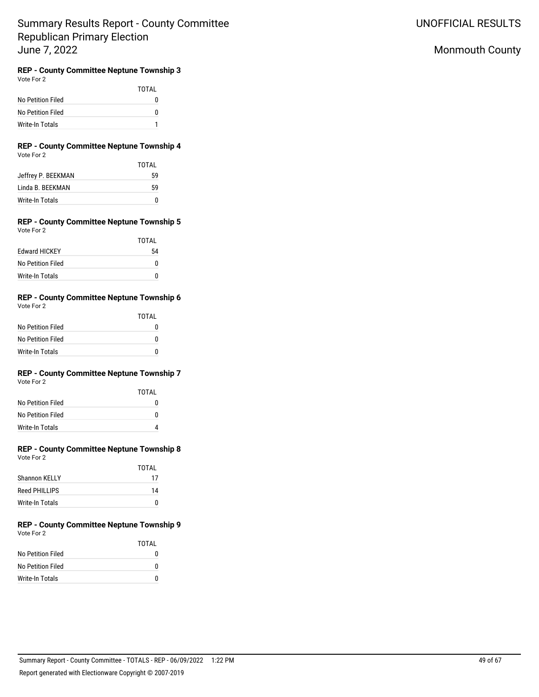UNOFFICIAL RESULTS

# Monmouth County

#### **REP - County Committee Neptune Township 3** Vote For 2

|                   | TOTAL |
|-------------------|-------|
| No Petition Filed | O     |
| No Petition Filed | U     |
| Write-In Totals   |       |

### **REP - County Committee Neptune Township 4** Vote For 2

|                    | TOTAI |
|--------------------|-------|
| Jeffrey P. BEEKMAN | 59    |
| Linda B. BEEKMAN   | 59    |
| Write-In Totals    | U     |

### **REP - County Committee Neptune Township 5** Vote For 2

|                      | TOTAI |
|----------------------|-------|
| <b>Fdward HICKEY</b> | 54    |
| No Petition Filed    | U     |
| Write-In Totals      | ŋ     |

## **REP - County Committee Neptune Township 6**

| Vote For 2 |  |
|------------|--|
|            |  |

|                   | TOTAI |
|-------------------|-------|
| No Petition Filed | O     |
| No Petition Filed | U     |
| Write-In Totals   | n     |

# **REP - County Committee Neptune Township 7**

| Vote For 2 |  |
|------------|--|
|            |  |

|                   | TOTAI |
|-------------------|-------|
| No Petition Filed | O     |
| No Petition Filed | n     |
| Write-In Totals   |       |

### **REP - County Committee Neptune Township 8** Vote For 2

|                      | TOTAI |
|----------------------|-------|
| <b>Shannon KELLY</b> | 17    |
| Reed PHII LIPS       | 14    |
| Write-In Totals      | U     |

### **REP - County Committee Neptune Township 9** Vote For 2

|                   | TOTAI |
|-------------------|-------|
| No Petition Filed | 0     |
| No Petition Filed | 0     |
| Write-In Totals   | n     |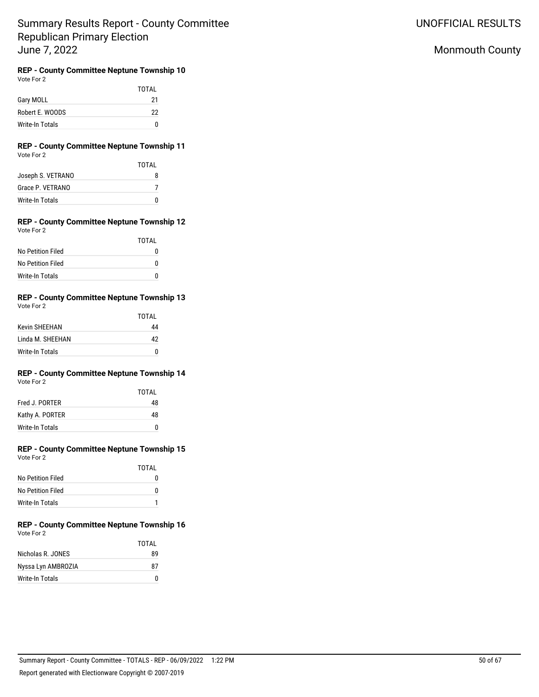UNOFFICIAL RESULTS

# Monmouth County

## **REP - County Committee Neptune Township 10**

Vote For 2

|                 | <b>TOTAL</b> |
|-----------------|--------------|
| Gary MOLL       | 21           |
| Robert E. WOODS | 22           |
| Write-In Totals |              |

### **REP - County Committee Neptune Township 11** Vote For 2

|                   | TOTAI |
|-------------------|-------|
| Joseph S. VETRANO | 8     |
| Grace P. VETRANO  |       |
| Write-In Totals   |       |

#### **REP - County Committee Neptune Township 12** Vote For 2

|                   | TOTAI |
|-------------------|-------|
| No Petition Filed | 0     |
| No Petition Filed | U     |
| Write-In Totals   | n     |

#### **REP - County Committee Neptune Township 13** Vote For 2

| vole For | $\overline{\phantom{a}}$ |
|----------|--------------------------|
|          |                          |

|                      | TOTAI |
|----------------------|-------|
| <b>Kevin SHFFHAN</b> | 44    |
| Linda M. SHEEHAN     | 42    |
| Write-In Totals      | n     |

## **REP - County Committee Neptune Township 14**

| Vote For | 2 |
|----------|---|
|          |   |

|                 | TOTAI |
|-----------------|-------|
| Fred J. PORTER  | 48    |
| Kathy A. PORTER | 48    |
| Write-In Totals | n     |

### **REP - County Committee Neptune Township 15** Vote For 2

|                   | TOTAI |
|-------------------|-------|
| No Petition Filed | n     |
| No Petition Filed | U     |
| Write-In Totals   |       |

#### **REP - County Committee Neptune Township 16** Vote For 2

|                    | TOTAL |
|--------------------|-------|
| Nicholas R. JONES  | 89    |
| Nyssa Lyn AMBROZIA | 87    |
| Write-In Totals    | U     |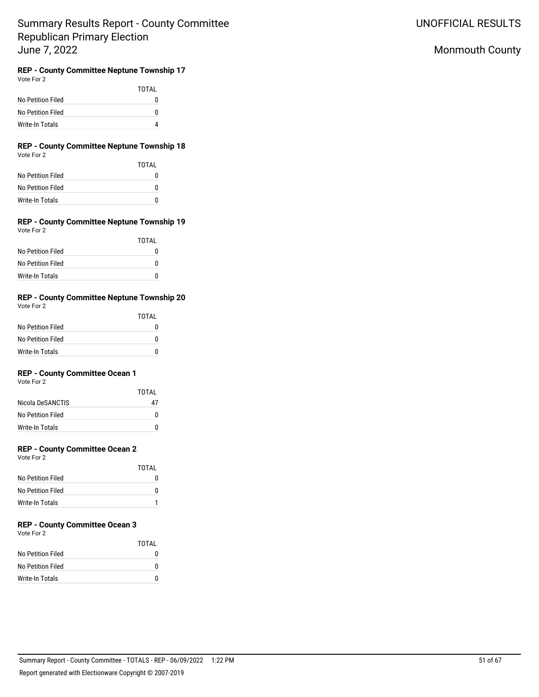UNOFFICIAL RESULTS

# Monmouth County

#### **REP - County Committee Neptune Township 17** Vote For 2

| VULCIUI <i>L</i>  |       |
|-------------------|-------|
|                   | TOTAL |
| No Petition Filed | N     |
| No Petition Filed | n     |
| Write-In Totals   | 4     |

### **REP - County Committee Neptune Township 18** Vote For 2

|                   | TOTAI |
|-------------------|-------|
| No Petition Filed | O     |
| No Petition Filed | U     |
| Write-In Totals   | U     |

### **REP - County Committee Neptune Township 19** Vote For 2

|                   | TOTAI |
|-------------------|-------|
| No Petition Filed | O     |
| No Petition Filed | U     |
| Write-In Totals   | O     |

## **REP - County Committee Neptune Township 20**

| Vote For 2 |  |
|------------|--|
|            |  |

|                   | TOTAI |
|-------------------|-------|
| No Petition Filed | 0     |
| No Petition Filed | O     |
| Write-In Totals   |       |

## **REP - County Committee Ocean 1**

Vote For 2

|                        | TOTAI |
|------------------------|-------|
| Nicola DeSANCTIS       | 47    |
| No Petition Filed      | o     |
| <b>Write-In Totals</b> | U     |

## **REP - County Committee Ocean 2**

Vote For 2

|                   | TOTAI |
|-------------------|-------|
| No Petition Filed |       |
| No Petition Filed |       |
| Write-In Totals   |       |

# **REP - County Committee Ocean 3**

Vote For 2

|                   | TOTAL |
|-------------------|-------|
| No Petition Filed | n     |
| No Petition Filed | n     |
| Write-In Totals   |       |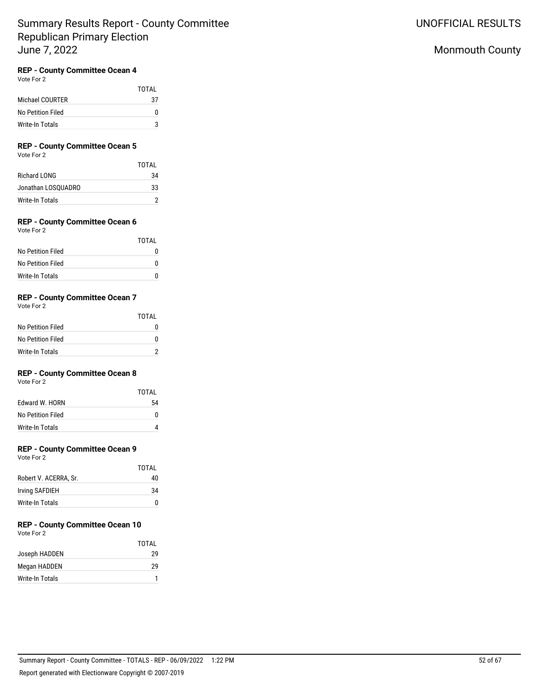## **REP - County Committee Ocean 4**

Vote For 2

|                   | TOTAI |
|-------------------|-------|
| Michael COURTER   | 37    |
| No Petition Filed | 0     |
| Write-In Totals   | વ     |

## **REP - County Committee Ocean 5**

Vote For 2

|                     | TOTAI |
|---------------------|-------|
| <b>Richard LONG</b> | 34    |
| Jonathan LOSQUADRO  | 33    |
| Write-In Totals     |       |

## **REP - County Committee Ocean 6**

Vote For 2

|                   | TOTAI |
|-------------------|-------|
| No Petition Filed | 0     |
| No Petition Filed | O     |
| Write-In Totals   | O     |

### **REP - County Committee Ocean 7**

Vote For 2

|                   | TOTAL    |
|-------------------|----------|
| No Petition Filed | $^{(1)}$ |
| No Petition Filed | o        |
| Write-In Totals   |          |

## **REP - County Committee Ocean 8**

Vote For 2

|                   | TOTAI |
|-------------------|-------|
| Edward W. HORN    | 54    |
| No Petition Filed | O     |
| Write-In Totals   |       |

### **REP - County Committee Ocean 9**

Vote For 2

|                       | TOTAI |
|-----------------------|-------|
| Robert V. ACERRA, Sr. | 40    |
| Irving SAFDIEH        | 34    |
| Write-In Totals       |       |

# **REP - County Committee Ocean 10**

Vote For 2

|                 | TOTAI |
|-----------------|-------|
| Joseph HADDEN   | 29    |
| Megan HADDEN    | 29    |
| Write-In Totals |       |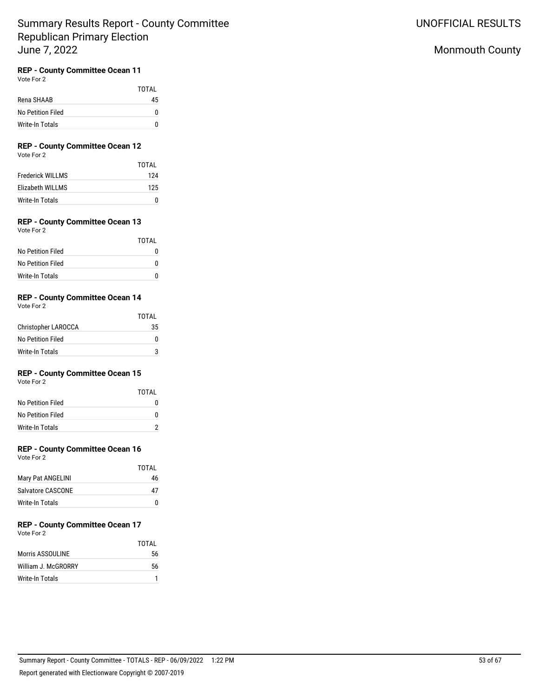## **REP - County Committee Ocean 11**

Vote For 2

|                   | TOTAI |
|-------------------|-------|
| Rena SHAAB        | 45    |
| No Petition Filed |       |
| Write-In Totals   |       |

# **REP - County Committee Ocean 12**

Vote For 2

|                         | TOTAI |
|-------------------------|-------|
| <b>Frederick WILLMS</b> | 124   |
| Elizabeth WILLMS        | 125   |
| Write-In Totals         |       |

## **REP - County Committee Ocean 13**

Vote For 2

|                   | TOTAI |
|-------------------|-------|
| No Petition Filed |       |
| No Petition Filed |       |
| Write-In Totals   |       |

## **REP - County Committee Ocean 14**

Vote For 2

|                            | TOTAL |
|----------------------------|-------|
| <b>Christopher LAROCCA</b> | 35    |
| No Petition Filed          | 0     |
| Write-In Totals            |       |

## **REP - County Committee Ocean 15**

Vote For 2

|                   | TOTAI |
|-------------------|-------|
| No Petition Filed | 0     |
| No Petition Filed | U     |
| Write-In Totals   |       |

### **REP - County Committee Ocean 16**

Vote For 2

|                   | TOTAI |
|-------------------|-------|
| Mary Pat ANGELINI | 46    |
| Salvatore CASCONE | 47    |
| Write-In Totals   | O     |

#### **REP - County Committee Ocean 17** Vote For 2

|                     | TOTAI |
|---------------------|-------|
| Morris ASSOULINE    | 56    |
| William J. McGRORRY | 56    |
| Write-In Totals     |       |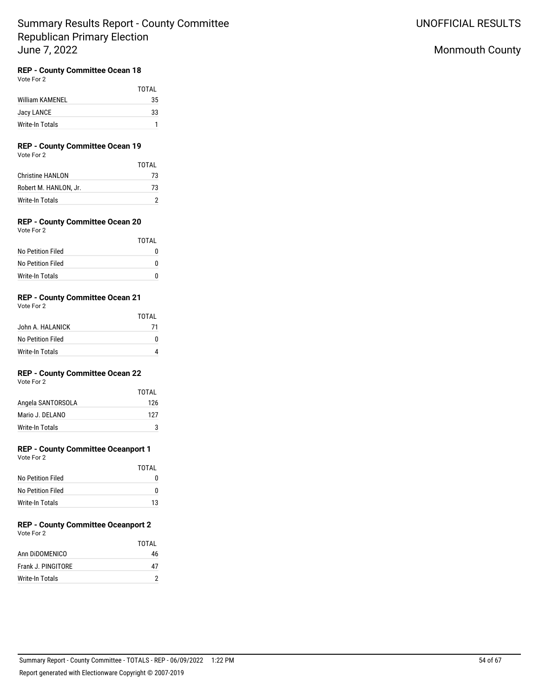### **REP - County Committee Ocean 18**

Vote For 2

|                 | TOTAL |
|-----------------|-------|
| William KAMENEL | 35    |
| Jacy LANCE      | 33    |
| Write-In Totals |       |

# **REP - County Committee Ocean 19**

Vote For 2

|                         | TOTAL |
|-------------------------|-------|
| <b>Christine HANLON</b> | 73    |
| Robert M. HANLON. Jr.   | 73    |
| Write-In Totals         |       |

## **REP - County Committee Ocean 20**

Vote For 2

|                   | TOTAI |
|-------------------|-------|
| No Petition Filed |       |
| No Petition Filed |       |
| Write-In Totals   |       |

### **REP - County Committee Ocean 21**

Vote For 2

|                   | TOTAI |
|-------------------|-------|
| John A. HALANICK  | 71    |
| No Petition Filed | 0     |
| Write-In Totals   |       |

## **REP - County Committee Ocean 22**

Vote For 2

|                   | TOTAI |
|-------------------|-------|
| Angela SANTORSOLA | 126   |
| Mario J. DELANO   | 127   |
| Write-In Totals   |       |

## **REP - County Committee Oceanport 1**

Vote For 2

|                   | TOTAI |
|-------------------|-------|
| No Petition Filed |       |
| No Petition Filed | 0     |
| Write-In Totals   | 13    |

#### **REP - County Committee Oceanport 2** Vote For 2

|                    | TOTAI |
|--------------------|-------|
| Ann DIDOMENICO     | 46    |
| Frank J. PINGITORE | 47    |
| Write-In Totals    |       |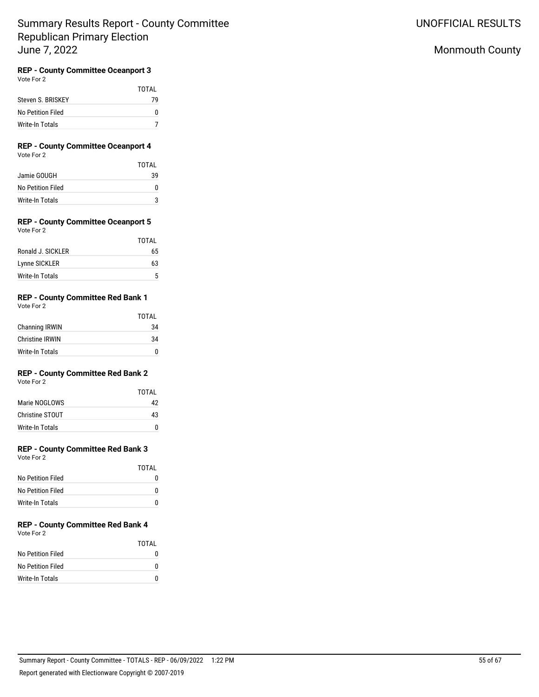# UNOFFICIAL RESULTS

# Monmouth County

# **REP - County Committee Oceanport 3**

Vote For 2

|                   | TOTAI |
|-------------------|-------|
| Steven S. BRISKEY | 79    |
| No Petition Filed | n     |
| Write-In Totals   |       |

### **REP - County Committee Oceanport 4** Vote For 2

|                   | TOTAI |
|-------------------|-------|
| Jamie GOUGH       | 39    |
| No Petition Filed | o     |
| Write-In Totals   |       |

#### **REP - County Committee Oceanport 5** Vote For 2

|                   | TOTAL |
|-------------------|-------|
| Ronald J. SICKLER | 65    |
| Lynne SICKLER     | 63    |
| Write-In Totals   | 5     |

## **REP - County Committee Red Bank 1**

Vote For 2

|                        | TOTAI |
|------------------------|-------|
| <b>Channing IRWIN</b>  | 34    |
| <b>Christine IRWIN</b> | 34    |
| Write-In Totals        | n     |

## **REP - County Committee Red Bank 2**

Vote For 2

|                 | TOTAI |
|-----------------|-------|
| Marie NOGLOWS   | 42    |
| Christine STOUT | 43    |
| Write-In Totals |       |

## **REP - County Committee Red Bank 3**

Vote For 2

|                   | TOTAI |
|-------------------|-------|
| No Petition Filed |       |
| No Petition Filed | O     |
| Write-In Totals   | O     |

#### **REP - County Committee Red Bank 4** Vote For 2

|                   | TOTAI |
|-------------------|-------|
| No Petition Filed | n     |
| No Petition Filed | n     |
| Write-In Totals   | n     |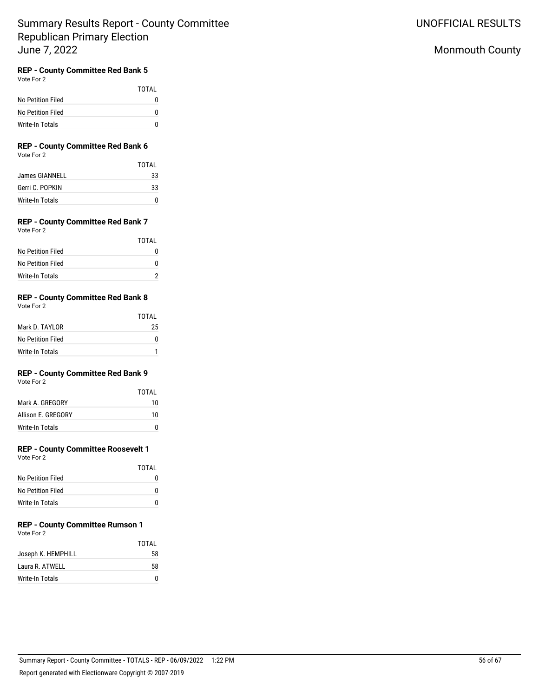## Monmouth County

## **REP - County Committee Red Bank 5**

Vote For 2

|                   | <b>TOTAL</b> |
|-------------------|--------------|
| No Petition Filed |              |
| No Petition Filed |              |
| Write-In Totals   |              |

### **REP - County Committee Red Bank 6** Vote For 2

|                 | TOTAI |
|-----------------|-------|
| James GIANNELL  | 33    |
| Gerri C. POPKIN | 33    |
| Write-In Totals |       |

#### **REP - County Committee Red Bank 7** Vote For 2

| TOTAL |
|-------|
| n     |
| n     |
|       |
|       |

## **REP - County Committee Red Bank 8**

Vote For 2

|                   | TOTAI |
|-------------------|-------|
| Mark D. TAYI OR   | 25    |
| No Petition Filed | O     |
| Write-In Totals   |       |

## **REP - County Committee Red Bank 9**

Vote For 2

|                    | TOTAI |
|--------------------|-------|
| Mark A. GREGORY    | 10    |
| Allison F. GREGORY | 10    |
| Write-In Totals    |       |

## **REP - County Committee Roosevelt 1**

Vote For 2

|                   | TOTAL |
|-------------------|-------|
| No Petition Filed | 0     |
| No Petition Filed | O     |
| Write-In Totals   | O     |

#### **REP - County Committee Rumson 1** Vote For 2

|                    | TOTAI |
|--------------------|-------|
| Joseph K. HEMPHILL | 58    |
| Laura R. ATWELL    | 58    |
| Write-In Totals    |       |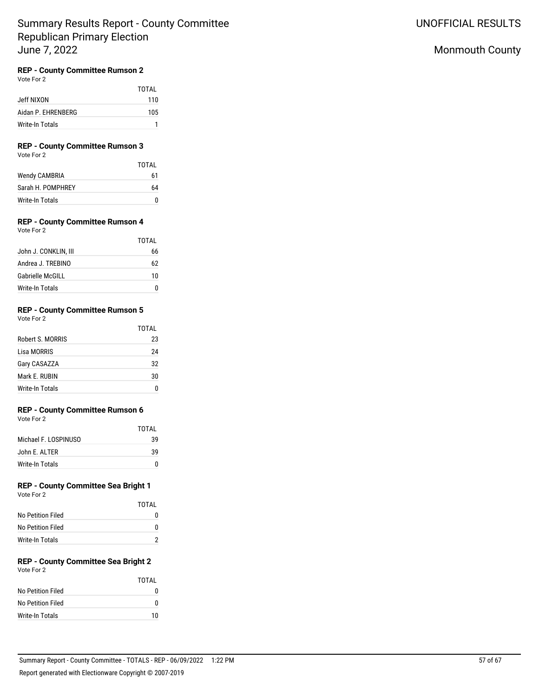## Monmouth County

## **REP - County Committee Rumson 2**

Vote For 2

|                    | <b>TOTAL</b> |
|--------------------|--------------|
| Jeff NIXON         | 110          |
| Aidan P. EHRENBERG | 105          |
| Write-In Totals    |              |

# **REP - County Committee Rumson 3**

Vote For 2

|                      | <b>TOTAL</b> |
|----------------------|--------------|
| <b>Wendy CAMBRIA</b> | 61           |
| Sarah H. POMPHREY    | 64           |
| Write-In Totals      | n            |

## **REP - County Committee Rumson 4**

|                         | TOTAL |
|-------------------------|-------|
| John J. CONKLIN, III    | 66    |
| Andrea J. TREBINO       | 62    |
| <b>Gabrielle McGILL</b> | 10    |
| Write-In Totals         |       |

## **REP - County Committee Rumson 5**

| Vote For 2 |  |
|------------|--|
|            |  |

|                  | TOTAL |
|------------------|-------|
| Robert S. MORRIS | 23    |
| Lisa MORRIS      | 24    |
| Gary CASAZZA     | 32    |
| Mark E. RUBIN    | 30    |
| Write-In Totals  |       |

## **REP - County Committee Rumson 6**

Vote For 2

|                      | TOTAL |
|----------------------|-------|
| Michael F. LOSPINUSO | 39    |
| John F. AI TFR       | 39    |
| Write-In Totals      |       |

#### **REP - County Committee Sea Bright 1** Vote For 2

| VULCIUI <i>L</i>  |       |
|-------------------|-------|
|                   | TOTAL |
| No Petition Filed | N     |
| No Petition Filed | N     |
| Write-In Totals   |       |

#### **REP - County Committee Sea Bright 2** Vote For 2

| VULCIUI <i>L</i>  | TOTAI |
|-------------------|-------|
| No Petition Filed |       |
| No Petition Filed |       |
| Write-In Totals   | 10    |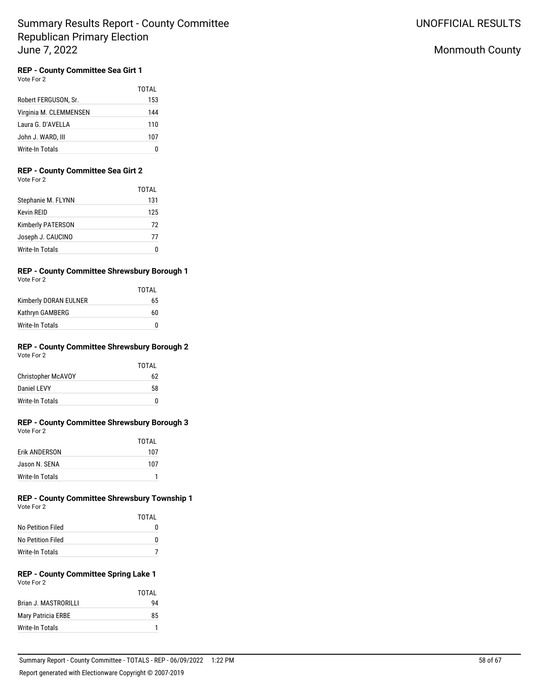## Monmouth County

## **REP - County Committee Sea Girt 1**

Vote For 2

|                        | TOTAI |
|------------------------|-------|
| Robert FERGUSON, Sr.   | 153   |
| Virginia M. CLEMMENSEN | 144   |
| Laura G. D'AVELLA      | 110   |
| John J. WARD, III      | 107   |
| Write-In Totals        |       |

## **REP - County Committee Sea Girt 2**

Vote For 2

|                          | TOTAI |
|--------------------------|-------|
| Stephanie M. FLYNN       | 131   |
| <b>Kevin RFID</b>        | 125   |
| <b>Kimberly PATERSON</b> | 72    |
| Joseph J. CAUCINO        | 77    |
| <b>Write-In Totals</b>   | Ω     |

# **REP - County Committee Shrewsbury Borough 1**

Vote For 2

|                       | TOTAI |
|-----------------------|-------|
| Kimberly DORAN EULNER | 65    |
| Kathryn GAMBERG       | 60    |
| Write-In Totals       | 0     |

#### **REP - County Committee Shrewsbury Borough 2** Vote For 2

|                           | TOTAI |
|---------------------------|-------|
| <b>Christopher McAVOY</b> | 62    |
| Daniel LEVY               | 58    |
| Write-In Totals           | n     |

### **REP - County Committee Shrewsbury Borough 3** Vote For 2

|                      | TOTAI |
|----------------------|-------|
| <b>Frik ANDFRSON</b> | 107   |
| Jason N. SENA        | 107   |
| Write-In Totals      |       |

#### **REP - County Committee Shrewsbury Township 1** Vote For 2

|                   | TOTAI |
|-------------------|-------|
| No Petition Filed | O     |
| No Petition Filed | O     |
| Write-In Totals   |       |

#### **REP - County Committee Spring Lake 1** Vote For 2

|                      | TOTAI |
|----------------------|-------|
| Brian J. MASTRORILLI | 94    |
| Mary Patricia ERBE   | 85    |
| Write-In Totals      |       |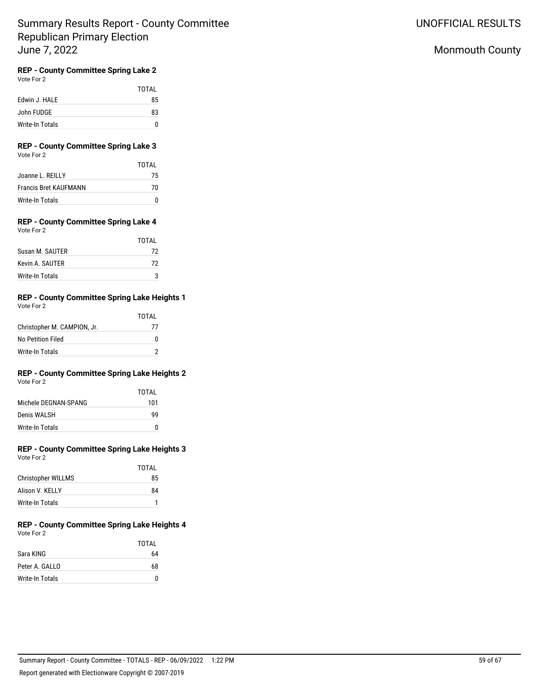UNOFFICIAL RESULTS

## Monmouth County

#### **REP - County Committee Spring Lake 2** Vote For 2

|                 | <b>TOTAL</b> |
|-----------------|--------------|
| Edwin J. HALE   | 85           |
| John FUDGE      | 83           |
| Write-In Totals |              |

### **REP - County Committee Spring Lake 3** Vote For 2

|                              | TOTAL |
|------------------------------|-------|
| Joanne L. REILLY             | 75    |
| <b>Francis Bret KAUFMANN</b> | 70    |
| Write-In Totals              | n     |

### **REP - County Committee Spring Lake 4** Vote For 2

|                 | TOTAI |
|-----------------|-------|
| Susan M. SAUTER | 72    |
| Kevin A. SAUTER | 72    |
| Write-In Totals | ঽ     |

#### **REP - County Committee Spring Lake Heights 1** Vote For 2

|                             | TOTAI |
|-----------------------------|-------|
| Christopher M. CAMPION, Jr. | 77    |
| No Petition Filed           | U     |
| Write-In Totals             |       |

# **REP - County Committee Spring Lake Heights 2**

|                      | TOTAI |
|----------------------|-------|
| Michele DEGNAN-SPANG | 101   |
| Denis WALSH          | ٩q    |
| Write-In Totals      | 0     |

### **REP - County Committee Spring Lake Heights 3** Vote For 2

|                           | TOTAI |
|---------------------------|-------|
| <b>Christopher WILLMS</b> | 85    |
| Alison V. KFLLY           | 84    |
| Write-In Totals           |       |

#### **REP - County Committee Spring Lake Heights 4** Vote For 2

|                 | TOTAL |
|-----------------|-------|
| Sara KING       | 64    |
| Peter A. GALLO  | 68    |
| Write-In Totals | U     |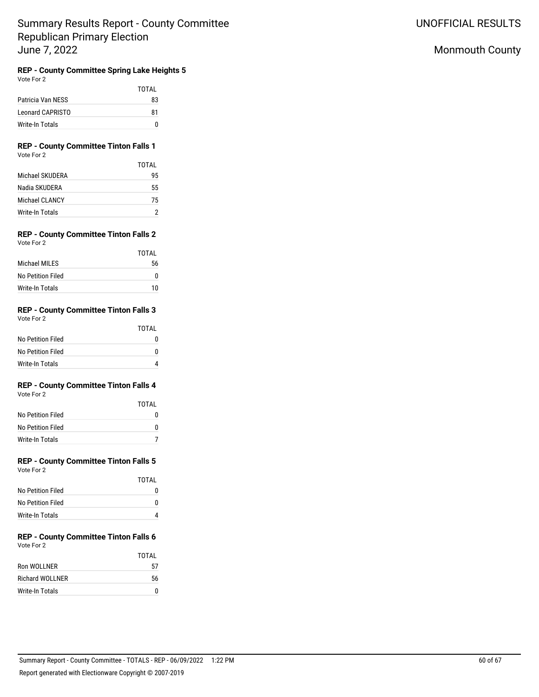**REP - County Committee Spring Lake Heights 5** Vote For 2

|                   | TOTAI |
|-------------------|-------|
| Patricia Van NESS | 83    |
| Leonard CAPRISTO  | 81    |
| Write-In Totals   | n     |

### **REP - County Committee Tinton Falls 1** Vote For 2

|                 | TOTAI |
|-----------------|-------|
| Michael SKUDERA | 95    |
| Nadia SKUDERA   | 55    |
| Michael CLANCY  | 75    |
| Write-In Totals |       |

### **REP - County Committee Tinton Falls 2** Vote For 2

|                   | TOTAI |
|-------------------|-------|
| Michael MII FS    | 56    |
| No Petition Filed | O     |
| Write-In Totals   | 10    |

### **REP - County Committee Tinton Falls 3** Vote For 2

|                        | TOTAL |
|------------------------|-------|
| No Petition Filed      |       |
| No Petition Filed      | O     |
| <b>Write-In Totals</b> |       |

#### **REP - County Committee Tinton Falls 4** Vote For 2

|                   | TOTAL |
|-------------------|-------|
| No Petition Filed | N     |
| No Petition Filed | n     |
| Write-In Totals   |       |

### **REP - County Committee Tinton Falls 5** Vote For 2

|                   | TOTAI |
|-------------------|-------|
| No Petition Filed |       |
| No Petition Filed |       |
| Write-In Totals   |       |

### **REP - County Committee Tinton Falls 6** Vote For 2

|                        | TOTAI |
|------------------------|-------|
| Ron WOLLNER            | 57    |
| <b>Richard WOLLNER</b> | 56    |
| Write-In Totals        |       |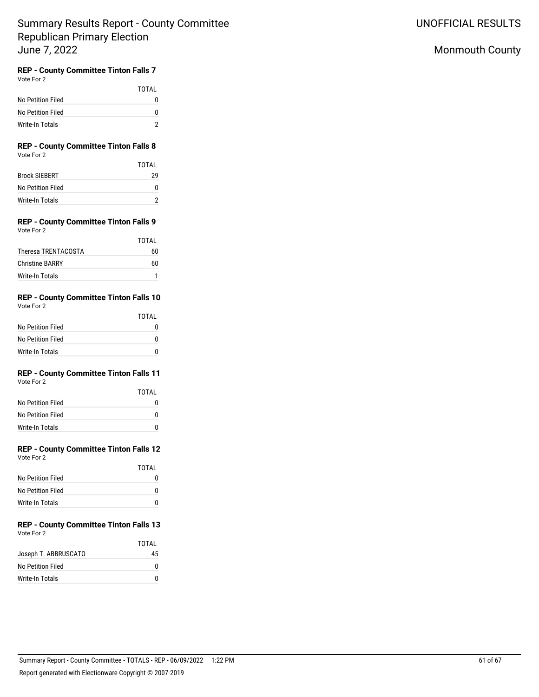## Monmouth County

# **REP - County Committee Tinton Falls 7**

| Vote For 2 |  |
|------------|--|
|            |  |

|                   | TOTAI    |
|-------------------|----------|
| No Petition Filed | $^{(1)}$ |
| No Petition Filed | O        |
| Write-In Totals   |          |

### **REP - County Committee Tinton Falls 8** Vote For 2

|                      | TOTAI |
|----------------------|-------|
| <b>Brock SIEBERT</b> | 29    |
| No Petition Filed    |       |
| Write-In Totals      |       |

### **REP - County Committee Tinton Falls 9** Vote For 2

|                        | TOTAI |
|------------------------|-------|
| Theresa TRENTACOSTA    | 60    |
| <b>Christine BARRY</b> | 60    |
| Write-In Totals        |       |

### **REP - County Committee Tinton Falls 10** Vote For 2

|                   | TOTAI |
|-------------------|-------|
| No Petition Filed | 0     |
| No Petition Filed | O     |
| Write-In Totals   | n     |

### **REP - County Committee Tinton Falls 11** Vote For 2

|                   | TOTAI |
|-------------------|-------|
| No Petition Filed |       |
| No Petition Filed | n     |
| Write-In Totals   |       |

#### **REP - County Committee Tinton Falls 12** Vote For 2

| <b>VOLE FOI Z</b> |  |  |
|-------------------|--|--|
|                   |  |  |
|                   |  |  |

| No Petition Filed | O |
|-------------------|---|
| No Petition Filed | O |
| Write-In Totals   | n |

### **REP - County Committee Tinton Falls 13** Vote For 2

|                      | TOTAI |
|----------------------|-------|
| Joseph T. ABBRUSCATO | 45    |
| No Petition Filed    |       |
| Write-In Totals      |       |

TOTAL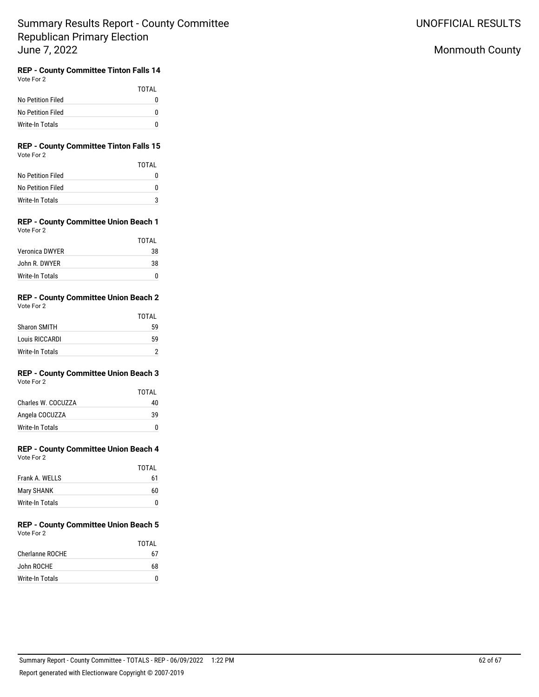UNOFFICIAL RESULTS

## Monmouth County

#### **REP - County Committee Tinton Falls 14** Vote For 2

|                   | TOTAI |
|-------------------|-------|
| No Petition Filed |       |
| No Petition Filed |       |
| Write-In Totals   |       |

### **REP - County Committee Tinton Falls 15** Vote For 2

|                   | TOTAI |
|-------------------|-------|
| No Petition Filed |       |
| No Petition Filed | O     |
| Write-In Totals   | ঽ     |

### **REP - County Committee Union Beach 1** Vote For 2

|                 | TOTAI |
|-----------------|-------|
| Veronica DWYER  | 38    |
| John R. DWYFR   | 38    |
| Write-In Totals |       |

### **REP - County Committee Union Beach 2** Vote For 2

|                     | TOTAI |
|---------------------|-------|
| <b>Sharon SMITH</b> | 59    |
| Louis RICCARDI      | 59    |
| Write-In Totals     |       |

### **REP - County Committee Union Beach 3** Vote For 2

|                    | TOTAI |
|--------------------|-------|
| Charles W. COCUZZA | 40    |
| Angela COCUZZA     | 39    |
| Write-In Totals    |       |

#### **REP - County Committee Union Beach 4** Vote For 2

| Vote For 2 |  |
|------------|--|
|            |  |
|            |  |

| TOTAI |
|-------|
| 61    |
| 60    |
| O     |
|       |

### **REP - County Committee Union Beach 5** Vote For 2

|                 | TOTAI |
|-----------------|-------|
| Cherlanne ROCHE | 67    |
| John ROCHE      | 68    |
| Write-In Totals |       |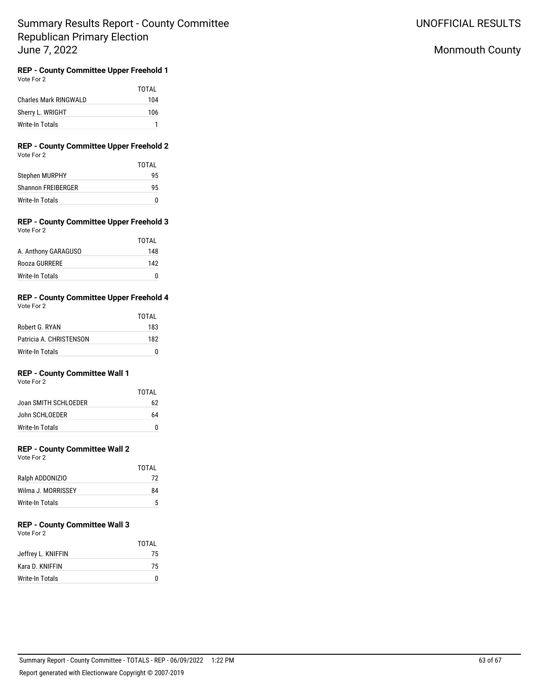## Monmouth County

# **REP - County Committee Upper Freehold 1**

| Vote For 2 |  |
|------------|--|
|            |  |

|                       | TOTAI |
|-----------------------|-------|
| Charles Mark RINGWALD | 104   |
| Sherry L. WRIGHT      | 106   |
| Write-In Totals       |       |

### **REP - County Committee Upper Freehold 2** Vote For 2

|                    | TOTAI |
|--------------------|-------|
| Stephen MURPHY     | 95    |
| Shannon FRFIBERGER | 95    |
| Write-In Totals    |       |

### **REP - County Committee Upper Freehold 3** Vote For 2

|                     | TOTAI |
|---------------------|-------|
| A. Anthony GARAGUSO | 148   |
| Rooza GURRERE       | 142   |
| Write-In Totals     | O     |

#### **REP - County Committee Upper Freehold 4** Vote For 2

| VULCIUI <i>L</i>        |       |
|-------------------------|-------|
|                         | TOTAL |
| Robert G. RYAN          | 183   |
| Patricia A. CHRISTENSON | 182   |
| Write-In Totals         |       |

## **REP - County Committee Wall 1**

Vote For 2

|                        | TOTAI |
|------------------------|-------|
| Joan SMITH SCHI OFDER  | 62    |
| John SCHI OFDER        | 64    |
| <b>Write-In Totals</b> | U     |

## **REP - County Committee Wall 2**

Vote For 2

|                    | TOTAI |
|--------------------|-------|
| Ralph ADDONIZIO    | 72    |
| Wilma J. MORRISSEY | 84    |
| Write-In Totals    | 5     |

# **REP - County Committee Wall 3**

Vote For 2

|                    | TOTAI |
|--------------------|-------|
| Jeffrey L. KNIFFIN | 75    |
| Kara D. KNIFFIN    | 75    |
| Write-In Totals    | U     |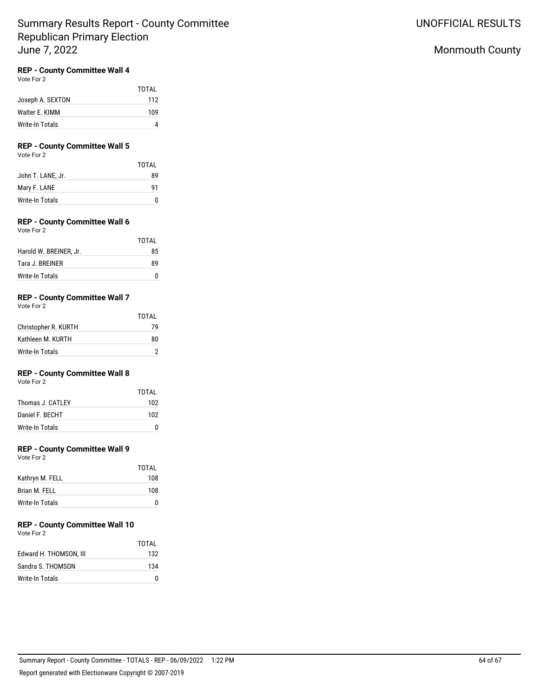## **REP - County Committee Wall 4**

Vote For 2

|                  | TOTAL |
|------------------|-------|
| Joseph A. SEXTON | 112   |
| Walter E. KIMM   | 109   |
| Write-In Totals  |       |

## **REP - County Committee Wall 5**

Vote For 2

|                   | <b>TOTAL</b> |
|-------------------|--------------|
| John T. LANE, Jr. | 89           |
| Mary F. LANE      | 91           |
| Write-In Totals   | n            |

## **REP - County Committee Wall 6**

| Vote For 2             |  |
|------------------------|--|
| Harold W. BREINER, Jr. |  |

| 89 |
|----|
|    |
|    |

TOTAL

## **REP - County Committee Wall 7**

Vote For 2

|                      | TOTAI |
|----------------------|-------|
| Christopher R. KURTH | 79    |
| Kathleen M. KURTH    | 80    |
| Write-In Totals      |       |

## **REP - County Committee Wall 8**

Vote For 2

|                   | TOTAI |
|-------------------|-------|
| Thomas J. CATI FY | 102   |
| Daniel F. BECHT   | 102   |
| Write-In Totals   | n     |

### **REP - County Committee Wall 9**

Vote For 2

|                 | TOTAI |
|-----------------|-------|
| Kathryn M. FELL | 108   |
| Brian M. FELL   | 108   |
| Write-In Totals | O     |

# **REP - County Committee Wall 10**

Vote For 2 TOTAL Edward H. THOMSON, III 132 Sandra S. THOMSON 134 Write-In Totals 0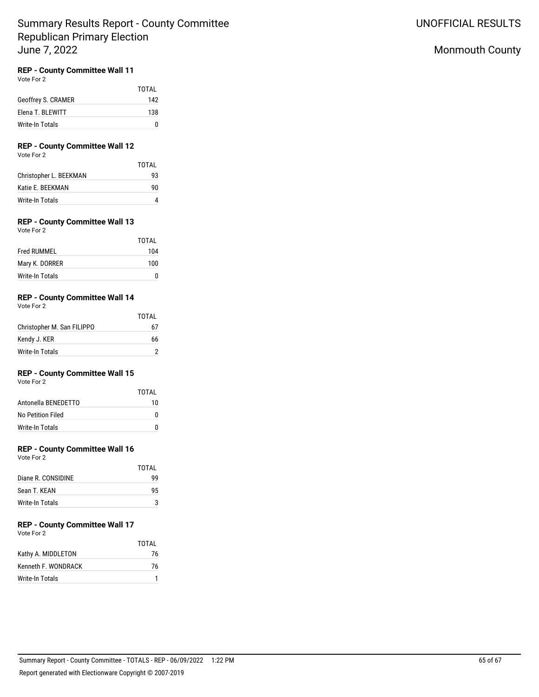## **REP - County Committee Wall 11**

Vote For 2

|                    | <b>TOTAL</b> |
|--------------------|--------------|
| Geoffrey S. CRAMER | 142          |
| Elena T. BLEWITT   | 138          |
| Write-In Totals    | n            |

## **REP - County Committee Wall 12**

Vote For 2

| TOTAI |
|-------|
| 93    |
| 90    |
|       |
|       |

## **REP - County Committee Wall 13**

| Vote For |  | 2 |
|----------|--|---|
|----------|--|---|

|                    | TOTAI |
|--------------------|-------|
| <b>Fred RUMMEL</b> | 104   |
| Mary K. DORRER     | 100   |
| Write-In Totals    | 0     |

#### **REP - County Committee Wall 14** Vote For 2

| VULE FULZ                  |       |
|----------------------------|-------|
|                            | TOTAL |
| Christopher M. San FILIPPO | 67    |
| Kendy J. KER               | 66    |
| Write-In Totals            |       |

## **REP - County Committee Wall 15**

Vote For 2

|                     | TOTAI |
|---------------------|-------|
| Antonella BENEDETTO | 10    |
| No Petition Filed   | n     |
| Write-In Totals     | n     |

### **REP - County Committee Wall 16**

Vote For 2

|                    | TOTAI |
|--------------------|-------|
| Diane R. CONSIDINE | ٩q    |
| Sean T. KFAN       | 95    |
| Write-In Totals    |       |

#### **REP - County Committee Wall 17** Vote For 2

|                     | <b>TOTAL</b> |
|---------------------|--------------|
| Kathy A. MIDDLETON  | 76           |
| Kenneth F. WONDRACK | 76           |
| Write-In Totals     |              |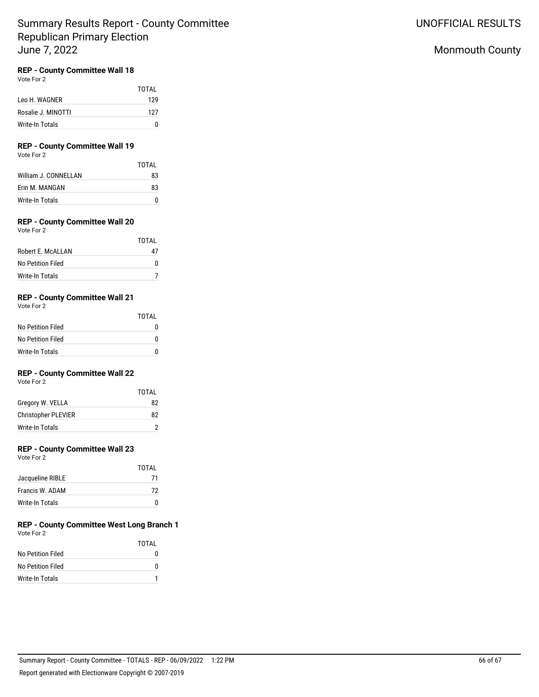## **REP - County Committee Wall 18**

Vote For 2

|                    | TOTAI |
|--------------------|-------|
| Leo H. WAGNER      | 129   |
| Rosalie J. MINOTTI | 127   |
| Write-In Totals    | n     |

## **REP - County Committee Wall 19**

Vote For 2

|                      | TOTAI |
|----------------------|-------|
| William J. CONNELLAN | 83    |
| Frin M. MANGAN       | 83    |
| Write-In Totals      | n     |

## **REP - County Committee Wall 20**

| Vote For 2        |       |
|-------------------|-------|
|                   | TOTAL |
| Robert E. McALLAN | 47    |
| No Petition Filed | n     |

## **REP - County Committee Wall 21**

Vote For 2

|                   | TOTAI |
|-------------------|-------|
| No Petition Filed |       |
| No Petition Filed |       |
| Write-In Totals   |       |

Write-In Totals 7

## **REP - County Committee Wall 22**

Vote For 2

|                            | TOTAI |
|----------------------------|-------|
| Gregory W. VELLA           | 82    |
| <b>Christopher PLEVIER</b> | 82    |
| Write-In Totals            | 2     |

### **REP - County Committee Wall 23**

Vote For 2

|                  | TOTAI |
|------------------|-------|
| Jacqueline RIBLE | 71    |
| Francis W. ADAM  | 72    |
| Write-In Totals  |       |

### **REP - County Committee West Long Branch 1** Vote For 2

|                   | TOTAI |
|-------------------|-------|
| No Petition Filed |       |
| No Petition Filed | 0     |
| Write-In Totals   |       |